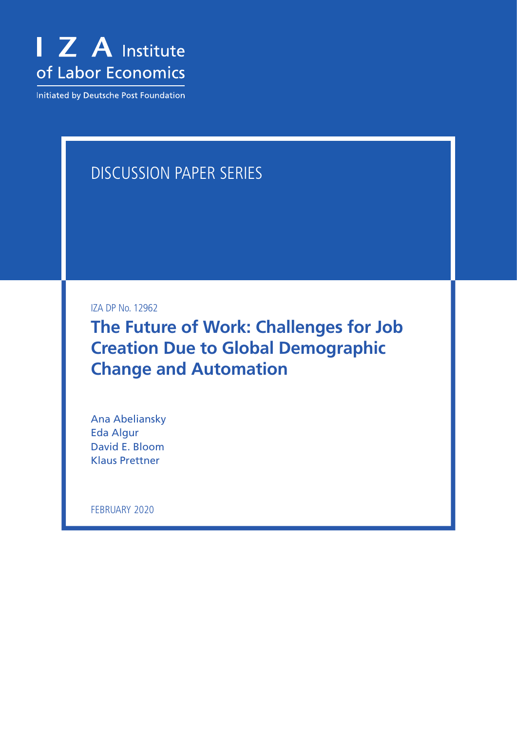

Initiated by Deutsche Post Foundation

# DISCUSSION PAPER SERIES

IZA DP No. 12962

**The Future of Work: Challenges for Job Creation Due to Global Demographic Change and Automation**

Ana Abeliansky Eda Algur David E. Bloom Klaus Prettner

FEBRUARY 2020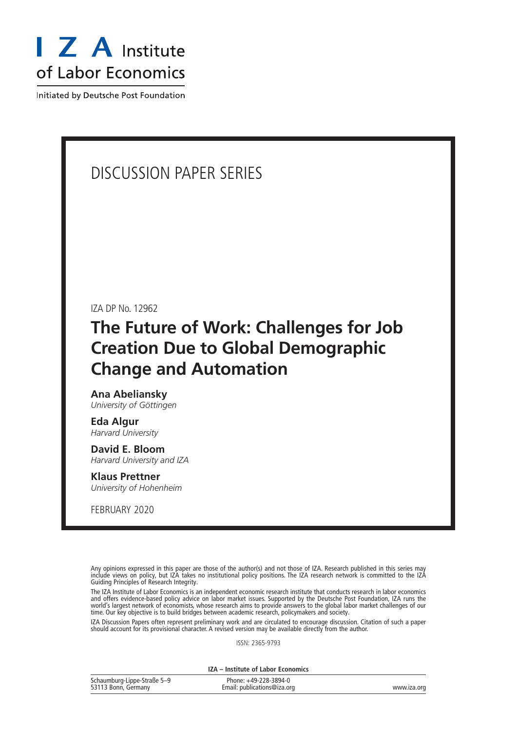

Initiated by Deutsche Post Foundation

# DISCUSSION PAPER SERIES

IZA DP No. 12962

# **The Future of Work: Challenges for Job Creation Due to Global Demographic Change and Automation**

**Ana Abeliansky** *University of Göttingen*

**Eda Algur** *Harvard University*

**David E. Bloom** *Harvard University and IZA*

# **Klaus Prettner**

*University of Hohenheim*

FEBRUARY 2020

Any opinions expressed in this paper are those of the author(s) and not those of IZA. Research published in this series may include views on policy, but IZA takes no institutional policy positions. The IZA research network is committed to the IZA Guiding Principles of Research Integrity.

The IZA Institute of Labor Economics is an independent economic research institute that conducts research in labor economics and offers evidence-based policy advice on labor market issues. Supported by the Deutsche Post Foundation, IZA runs the world's largest network of economists, whose research aims to provide answers to the global labor market challenges of our time. Our key objective is to build bridges between academic research, policymakers and society.

IZA Discussion Papers often represent preliminary work and are circulated to encourage discussion. Citation of such a paper should account for its provisional character. A revised version may be available directly from the author.

ISSN: 2365-9793

**IZA – Institute of Labor Economics**

| Schaumburg-Lippe-Straße 5-9 | Phone: +49-228-3894-0       |             |
|-----------------------------|-----------------------------|-------------|
| 53113 Bonn, Germany         | Email: publications@iza.org | www.iza.org |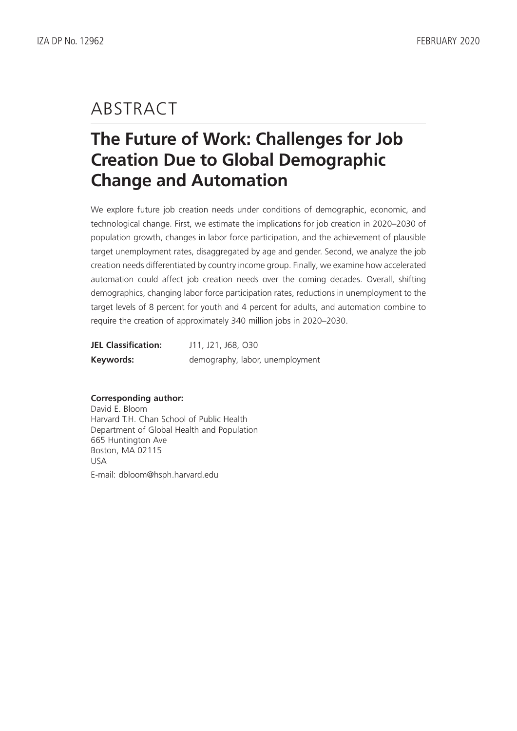# ABSTRACT

# **The Future of Work: Challenges for Job Creation Due to Global Demographic Change and Automation**

We explore future job creation needs under conditions of demographic, economic, and technological change. First, we estimate the implications for job creation in 2020–2030 of population growth, changes in labor force participation, and the achievement of plausible target unemployment rates, disaggregated by age and gender. Second, we analyze the job creation needs differentiated by country income group. Finally, we examine how accelerated automation could affect job creation needs over the coming decades. Overall, shifting demographics, changing labor force participation rates, reductions in unemployment to the target levels of 8 percent for youth and 4 percent for adults, and automation combine to require the creation of approximately 340 million jobs in 2020–2030.

| <b>JEL Classification:</b> | J11, J21, J68, O30              |  |  |  |  |  |  |
|----------------------------|---------------------------------|--|--|--|--|--|--|
| Keywords:                  | demography, labor, unemployment |  |  |  |  |  |  |

#### **Corresponding author:**

David E. Bloom Harvard T.H. Chan School of Public Health Department of Global Health and Population 665 Huntington Ave Boston, MA 02115 USA E-mail: dbloom@hsph.harvard.edu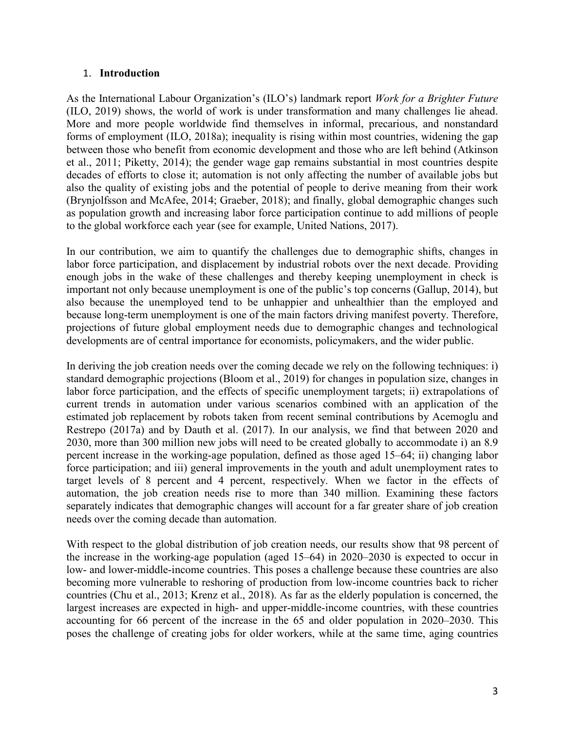## 1. **Introduction**

As the International Labour Organization's (ILO's) landmark report *Work for a Brighter Future* (ILO, 2019) shows, the world of work is under transformation and many challenges lie ahead. More and more people worldwide find themselves in informal, precarious, and nonstandard forms of employment (ILO, 2018a); inequality is rising within most countries, widening the gap between those who benefit from economic development and those who are left behind (Atkinson et al., 2011; Piketty, 2014); the gender wage gap remains substantial in most countries despite decades of efforts to close it; automation is not only affecting the number of available jobs but also the quality of existing jobs and the potential of people to derive meaning from their work (Brynjolfsson and McAfee, 2014; Graeber, 2018); and finally, global demographic changes such as population growth and increasing labor force participation continue to add millions of people to the global workforce each year (see for example, United Nations, 2017).

In our contribution, we aim to quantify the challenges due to demographic shifts, changes in labor force participation, and displacement by industrial robots over the next decade. Providing enough jobs in the wake of these challenges and thereby keeping unemployment in check is important not only because unemployment is one of the public's top concerns (Gallup, 2014), but also because the unemployed tend to be unhappier and unhealthier than the employed and because long-term unemployment is one of the main factors driving manifest poverty. Therefore, projections of future global employment needs due to demographic changes and technological developments are of central importance for economists, policymakers, and the wider public.

In deriving the job creation needs over the coming decade we rely on the following techniques: i) standard demographic projections (Bloom et al., 2019) for changes in population size, changes in labor force participation, and the effects of specific unemployment targets; ii) extrapolations of current trends in automation under various scenarios combined with an application of the estimated job replacement by robots taken from recent seminal contributions by Acemoglu and Restrepo (2017a) and by Dauth et al. (2017). In our analysis, we find that between 2020 and 2030, more than 300 million new jobs will need to be created globally to accommodate i) an 8.9 percent increase in the working-age population, defined as those aged 15–64; ii) changing labor force participation; and iii) general improvements in the youth and adult unemployment rates to target levels of 8 percent and 4 percent, respectively. When we factor in the effects of automation, the job creation needs rise to more than 340 million. Examining these factors separately indicates that demographic changes will account for a far greater share of job creation needs over the coming decade than automation.

With respect to the global distribution of job creation needs, our results show that 98 percent of the increase in the working-age population (aged 15–64) in 2020–2030 is expected to occur in low- and lower-middle-income countries. This poses a challenge because these countries are also becoming more vulnerable to reshoring of production from low-income countries back to richer countries (Chu et al., 2013; Krenz et al., 2018). As far as the elderly population is concerned, the largest increases are expected in high- and upper-middle-income countries, with these countries accounting for 66 percent of the increase in the 65 and older population in 2020–2030. This poses the challenge of creating jobs for older workers, while at the same time, aging countries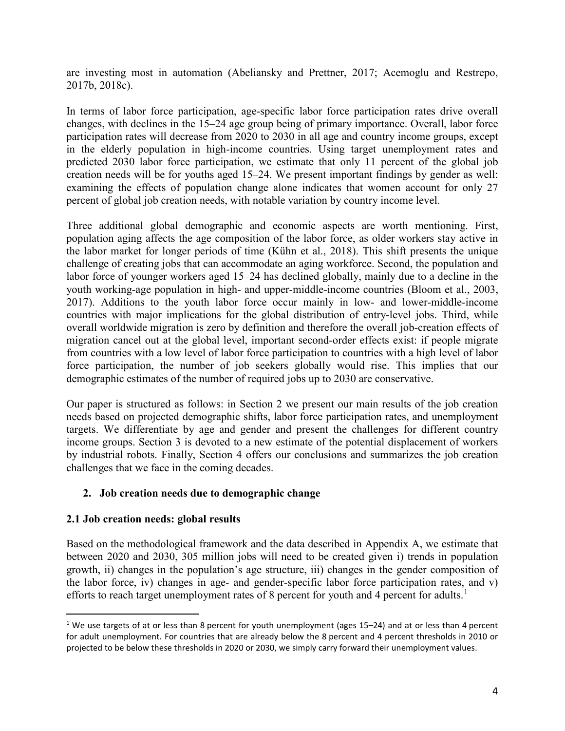are investing most in automation (Abeliansky and Prettner, 2017; Acemoglu and Restrepo, 2017b, 2018c).

In terms of labor force participation, age-specific labor force participation rates drive overall changes, with declines in the 15–24 age group being of primary importance. Overall, labor force participation rates will decrease from 2020 to 2030 in all age and country income groups, except in the elderly population in high-income countries. Using target unemployment rates and predicted 2030 labor force participation, we estimate that only 11 percent of the global job creation needs will be for youths aged 15–24. We present important findings by gender as well: examining the effects of population change alone indicates that women account for only 27 percent of global job creation needs, with notable variation by country income level.

Three additional global demographic and economic aspects are worth mentioning. First, population aging affects the age composition of the labor force, as older workers stay active in the labor market for longer periods of time (Kühn et al., 2018). This shift presents the unique challenge of creating jobs that can accommodate an aging workforce. Second, the population and labor force of younger workers aged 15–24 has declined globally, mainly due to a decline in the youth working-age population in high- and upper-middle-income countries (Bloom et al., 2003, 2017). Additions to the youth labor force occur mainly in low- and lower-middle-income countries with major implications for the global distribution of entry-level jobs. Third, while overall worldwide migration is zero by definition and therefore the overall job-creation effects of migration cancel out at the global level, important second-order effects exist: if people migrate from countries with a low level of labor force participation to countries with a high level of labor force participation, the number of job seekers globally would rise. This implies that our demographic estimates of the number of required jobs up to 2030 are conservative.

Our paper is structured as follows: in Section 2 we present our main results of the job creation needs based on projected demographic shifts, labor force participation rates, and unemployment targets. We differentiate by age and gender and present the challenges for different country income groups. Section 3 is devoted to a new estimate of the potential displacement of workers by industrial robots. Finally, Section 4 offers our conclusions and summarizes the job creation challenges that we face in the coming decades.

# **2. Job creation needs due to demographic change**

## **2.1 Job creation needs: global results**

Based on the methodological framework and the data described in Appendix A, we estimate that between 2020 and 2030, 305 million jobs will need to be created given i) trends in population growth, ii) changes in the population's age structure, iii) changes in the gender composition of the labor force, iv) changes in age- and gender-specific labor force participation rates, and v) efforts to reach target unemployment rates of 8 percent for youth and 4 percent for adults.<sup>[1](#page-4-0)</sup>

<span id="page-4-0"></span><sup>&</sup>lt;sup>1</sup> We use targets of at or less than 8 percent for youth unemployment (ages 15–24) and at or less than 4 percent for adult unemployment. For countries that are already below the 8 percent and 4 percent thresholds in 2010 or projected to be below these thresholds in 2020 or 2030, we simply carry forward their unemployment values.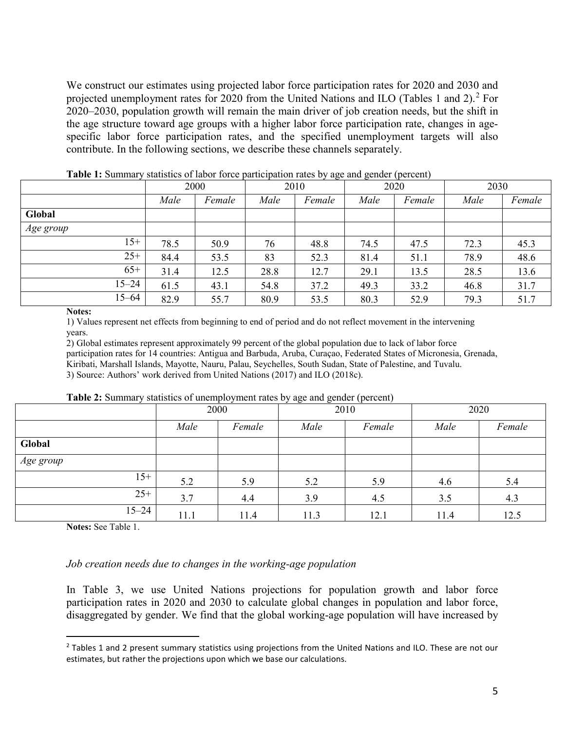We construct our estimates using projected labor force participation rates for 2020 and 2030 and projected unemployment rates for [2](#page-5-0)020 from the United Nations and ILO (Tables 1 and 2).<sup>2</sup> For 2020–2030, population growth will remain the main driver of job creation needs, but the shift in the age structure toward age groups with a higher labor force participation rate, changes in agespecific labor force participation rates, and the specified unemployment targets will also contribute. In the following sections, we describe these channels separately.

|           | <b>Fable 1.</b> Buildingly statistics of fabor force participation rates by age and gender (percent) |        |      |        |      |        |      |        |  |  |  |
|-----------|------------------------------------------------------------------------------------------------------|--------|------|--------|------|--------|------|--------|--|--|--|
|           | 2000                                                                                                 |        | 2010 |        | 2020 |        | 2030 |        |  |  |  |
|           | Male                                                                                                 | Female | Male | Female | Male | Female | Male | Female |  |  |  |
| Global    |                                                                                                      |        |      |        |      |        |      |        |  |  |  |
| Age group |                                                                                                      |        |      |        |      |        |      |        |  |  |  |
| $15+$     | 78.5                                                                                                 | 50.9   | 76   | 48.8   | 74.5 | 47.5   | 72.3 | 45.3   |  |  |  |
| $25+$     | 84.4                                                                                                 | 53.5   | 83   | 52.3   | 81.4 | 51.1   | 78.9 | 48.6   |  |  |  |
| $65+$     | 31.4                                                                                                 | 12.5   | 28.8 | 12.7   | 29.1 | 13.5   | 28.5 | 13.6   |  |  |  |
| $15 - 24$ | 61.5                                                                                                 | 43.1   | 54.8 | 37.2   | 49.3 | 33.2   | 46.8 | 31.7   |  |  |  |
| $15 - 64$ | 82.9                                                                                                 | 55.7   | 80.9 | 53.5   | 80.3 | 52.9   | 79.3 | 51.7   |  |  |  |
| --        |                                                                                                      |        |      |        |      |        |      |        |  |  |  |

**Table 1:** Summary statistics of labor force participation rates by age and gender (percent)

#### **Notes:**

1) Values represent net effects from beginning to end of period and do not reflect movement in the intervening years.

2) Global estimates represent approximately 99 percent of the global population due to lack of labor force participation rates for 14 countries: Antigua and Barbuda, Aruba, Curaçao, Federated States of Micronesia, Grenada, Kiribati, Marshall Islands, Mayotte, Nauru, Palau, Seychelles, South Sudan, State of Palestine, and Tuvalu. 3) Source: Authors' work derived from United Nations (2017) and ILO (2018c).

**Table 2:** Summary statistics of unemployment rates by age and gender (percent)

| $\overline{\phantom{a}}$ | 2000 |        |      | 2010   | 2020 |        |  |
|--------------------------|------|--------|------|--------|------|--------|--|
|                          | Male | Female | Male | Female | Male | Female |  |
| Global                   |      |        |      |        |      |        |  |
| Age group                |      |        |      |        |      |        |  |
| $15+$                    | 5.2  | 5.9    | 5.2  | 5.9    | 4.6  | 5.4    |  |
| $25+$                    | 3.7  | 4.4    | 3.9  | 4.5    | 3.5  | 4.3    |  |
| $15 - 24$                | 11.1 | 11.4   | 11.3 | 12.1   | 11.4 | 12.5   |  |

**Notes:** See Table 1.

## *Job creation needs due to changes in the working-age population*

In Table 3, we use United Nations projections for population growth and labor force participation rates in 2020 and 2030 to calculate global changes in population and labor force, disaggregated by gender. We find that the global working-age population will have increased by

<span id="page-5-0"></span><sup>&</sup>lt;sup>2</sup> Tables 1 and 2 present summary statistics using projections from the United Nations and ILO. These are not our estimates, but rather the projections upon which we base our calculations.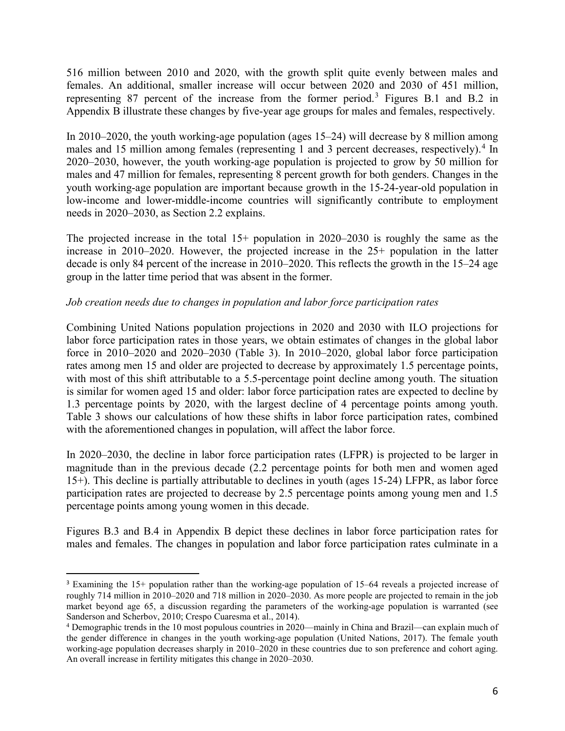516 million between 2010 and 2020, with the growth split quite evenly between males and females. An additional, smaller increase will occur between 2020 and 2030 of 451 million, representing 87 percent of the increase from the former period.[3](#page-6-0) Figures B.1 and B.2 in Appendix B illustrate these changes by five-year age groups for males and females, respectively.

In 2010–2020, the youth working-age population (ages 15–24) will decrease by 8 million among males and 15 million among females (representing 1 and 3 percent decreases, respectively).<sup>[4](#page-6-1)</sup> In 2020–2030, however, the youth working-age population is projected to grow by 50 million for males and 47 million for females, representing 8 percent growth for both genders. Changes in the youth working-age population are important because growth in the 15-24-year-old population in low-income and lower-middle-income countries will significantly contribute to employment needs in 2020–2030, as Section 2.2 explains.

The projected increase in the total 15+ population in 2020–2030 is roughly the same as the increase in 2010–2020. However, the projected increase in the 25+ population in the latter decade is only 84 percent of the increase in 2010–2020. This reflects the growth in the 15–24 age group in the latter time period that was absent in the former.

## *Job creation needs due to changes in population and labor force participation rates*

Combining United Nations population projections in 2020 and 2030 with ILO projections for labor force participation rates in those years, we obtain estimates of changes in the global labor force in 2010–2020 and 2020–2030 (Table 3). In 2010–2020, global labor force participation rates among men 15 and older are projected to decrease by approximately 1.5 percentage points, with most of this shift attributable to a 5.5-percentage point decline among youth. The situation is similar for women aged 15 and older: labor force participation rates are expected to decline by 1.3 percentage points by 2020, with the largest decline of 4 percentage points among youth. Table 3 shows our calculations of how these shifts in labor force participation rates, combined with the aforementioned changes in population, will affect the labor force.

In 2020–2030, the decline in labor force participation rates (LFPR) is projected to be larger in magnitude than in the previous decade (2.2 percentage points for both men and women aged 15+). This decline is partially attributable to declines in youth (ages 15-24) LFPR, as labor force participation rates are projected to decrease by 2.5 percentage points among young men and 1.5 percentage points among young women in this decade.

Figures B.3 and B.4 in Appendix B depict these declines in labor force participation rates for males and females. The changes in population and labor force participation rates culminate in a

<span id="page-6-0"></span> <sup>3</sup> Examining the 15+ population rather than the working-age population of 15–64 reveals a projected increase of roughly 714 million in 2010–2020 and 718 million in 2020–2030. As more people are projected to remain in the job market beyond age 65, a discussion regarding the parameters of the working-age population is warranted (see Sanderson and Scherbov, 2010; Crespo Cuaresma et al., 2014).

<span id="page-6-1"></span><sup>4</sup> Demographic trends in the 10 most populous countries in 2020—mainly in China and Brazil—can explain much of the gender difference in changes in the youth working-age population (United Nations, 2017). The female youth working-age population decreases sharply in 2010–2020 in these countries due to son preference and cohort aging. An overall increase in fertility mitigates this change in 2020–2030.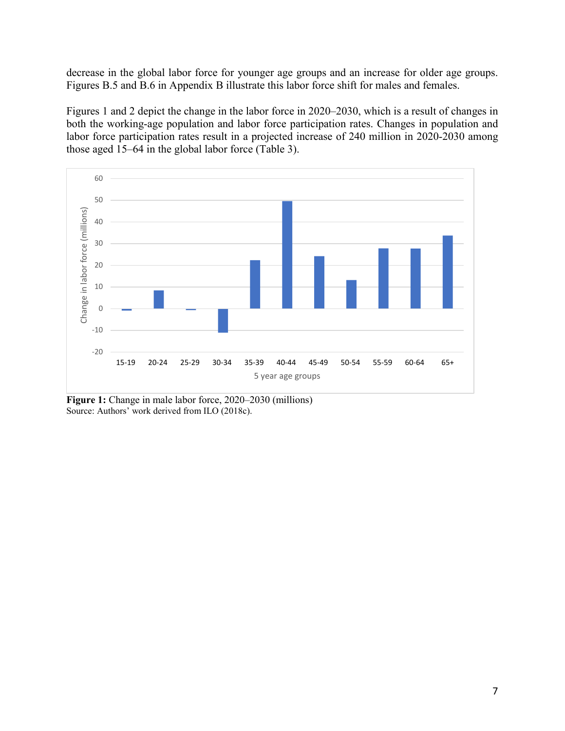decrease in the global labor force for younger age groups and an increase for older age groups. Figures B.5 and B.6 in Appendix B illustrate this labor force shift for males and females.

Figures 1 and 2 depict the change in the labor force in 2020–2030, which is a result of changes in both the working-age population and labor force participation rates. Changes in population and labor force participation rates result in a projected increase of 240 million in 2020-2030 among those aged 15–64 in the global labor force (Table 3).



**Figure 1:** Change in male labor force, 2020–2030 (millions) Source: Authors' work derived from ILO (2018c).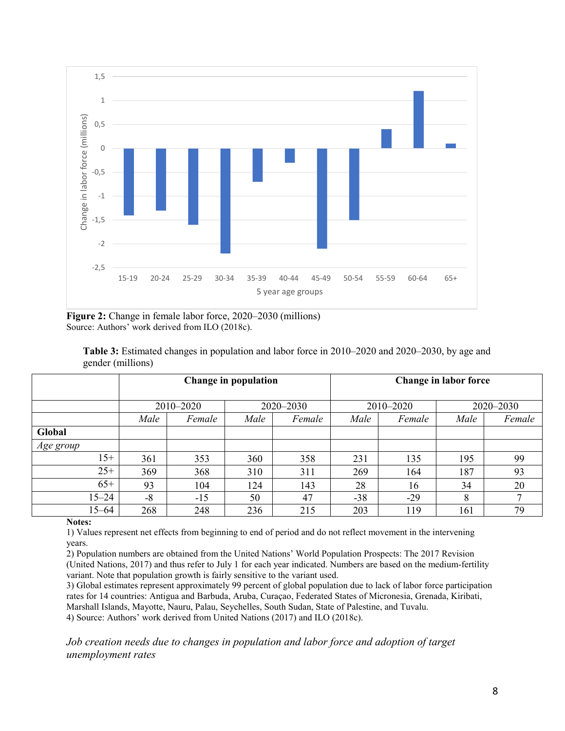

**Figure 2:** Change in female labor force, 2020–2030 (millions) Source: Authors' work derived from ILO (2018c).

| <b>Table 3:</b> Estimated changes in population and labor force in 2010–2020 and 2020–2030, by age and |  |  |  |  |  |
|--------------------------------------------------------------------------------------------------------|--|--|--|--|--|
| gender (millions)                                                                                      |  |  |  |  |  |

|           |           |        | Change in population |        | Change in labor force |           |           |        |  |
|-----------|-----------|--------|----------------------|--------|-----------------------|-----------|-----------|--------|--|
|           | 2010-2020 |        | $2020 - 2030$        |        |                       | 2010-2020 | 2020-2030 |        |  |
|           | Male      | Female | Male                 | Female | Male                  | Female    | Male      | Female |  |
| Global    |           |        |                      |        |                       |           |           |        |  |
| Age group |           |        |                      |        |                       |           |           |        |  |
| $15+$     | 361       | 353    | 360                  | 358    | 231                   | 135       | 195       | 99     |  |
| $25+$     | 369       | 368    | 310                  | 311    | 269                   | 164       | 187       | 93     |  |
| $65+$     | 93        | 104    | 124                  | 143    | 28                    | 16        | 34        | 20     |  |
| $15 - 24$ | $-8$      | $-15$  | 50                   | 47     | $-38$                 | $-29$     | 8         |        |  |
| $15 - 64$ | 268       | 248    | 236                  | 215    | 203                   | 119       | 161       | 79     |  |

#### **Notes:**

1) Values represent net effects from beginning to end of period and do not reflect movement in the intervening years.

2) Population numbers are obtained from the United Nations' World Population Prospects: The 2017 Revision (United Nations, 2017) and thus refer to July 1 for each year indicated. Numbers are based on the medium-fertility variant. Note that population growth is fairly sensitive to the variant used.

3) Global estimates represent approximately 99 percent of global population due to lack of labor force participation rates for 14 countries: Antigua and Barbuda, Aruba, Curaçao, Federated States of Micronesia, Grenada, Kiribati, Marshall Islands, Mayotte, Nauru, Palau, Seychelles, South Sudan, State of Palestine, and Tuvalu. 4) Source: Authors' work derived from United Nations (2017) and ILO (2018c).

*Job creation needs due to changes in population and labor force and adoption of target unemployment rates*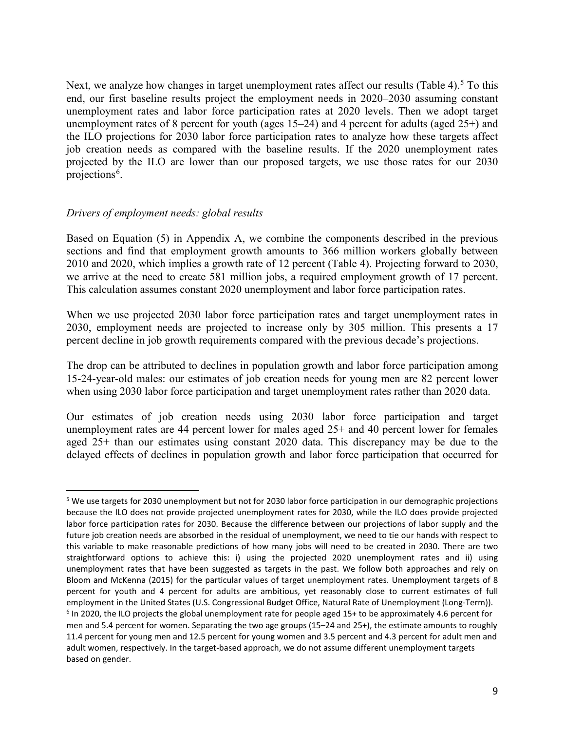Next, we analyze how changes in target unemployment rates affect our results (Table 4).<sup>[5](#page-9-0)</sup> To this end, our first baseline results project the employment needs in 2020–2030 assuming constant unemployment rates and labor force participation rates at 2020 levels. Then we adopt target unemployment rates of 8 percent for youth (ages 15–24) and 4 percent for adults (aged 25+) and the ILO projections for 2030 labor force participation rates to analyze how these targets affect job creation needs as compared with the baseline results. If the 2020 unemployment rates projected by the ILO are lower than our proposed targets, we use those rates for our 2030 projections<sup>[6](#page-9-1)</sup>.

## *Drivers of employment needs: global results*

Based on Equation (5) in Appendix A, we combine the components described in the previous sections and find that employment growth amounts to 366 million workers globally between 2010 and 2020, which implies a growth rate of 12 percent (Table 4). Projecting forward to 2030, we arrive at the need to create 581 million jobs, a required employment growth of 17 percent. This calculation assumes constant 2020 unemployment and labor force participation rates.

When we use projected 2030 labor force participation rates and target unemployment rates in 2030, employment needs are projected to increase only by 305 million. This presents a 17 percent decline in job growth requirements compared with the previous decade's projections.

The drop can be attributed to declines in population growth and labor force participation among 15-24-year-old males: our estimates of job creation needs for young men are 82 percent lower when using 2030 labor force participation and target unemployment rates rather than 2020 data.

Our estimates of job creation needs using 2030 labor force participation and target unemployment rates are 44 percent lower for males aged 25+ and 40 percent lower for females aged 25+ than our estimates using constant 2020 data. This discrepancy may be due to the delayed effects of declines in population growth and labor force participation that occurred for

<span id="page-9-0"></span><sup>&</sup>lt;sup>5</sup> We use targets for 2030 unemployment but not for 2030 labor force participation in our demographic projections because the ILO does not provide projected unemployment rates for 2030, while the ILO does provide projected labor force participation rates for 2030. Because the difference between our projections of labor supply and the future job creation needs are absorbed in the residual of unemployment, we need to tie our hands with respect to this variable to make reasonable predictions of how many jobs will need to be created in 2030. There are two straightforward options to achieve this: i) using the projected 2020 unemployment rates and ii) using unemployment rates that have been suggested as targets in the past. We follow both approaches and rely on Bloom and McKenna (2015) for the particular values of target unemployment rates. Unemployment targets of 8 percent for youth and 4 percent for adults are ambitious, yet reasonably close to current estimates of full employment in the United States (U.S. Congressional Budget Office, Natural Rate of Unemployment (Long-Term)).  $6$  In 2020, the ILO projects the global unemployment rate for people aged 15+ to be approximately 4.6 percent for men and 5.4 percent for women. Separating the two age groups (15–24 and 25+), the estimate amounts to roughly 11.4 percent for young men and 12.5 percent for young women and 3.5 percent and 4.3 percent for adult men and

<span id="page-9-1"></span>adult women, respectively. In the target-based approach, we do not assume different unemployment targets based on gender.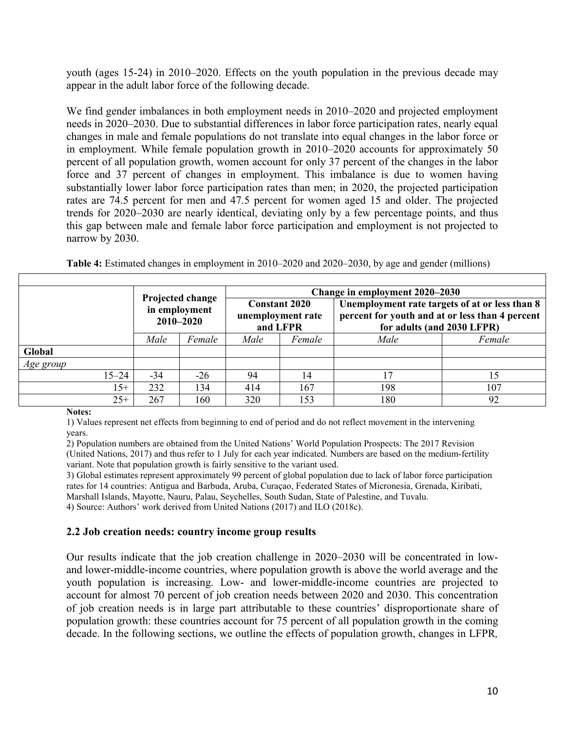youth (ages 15-24) in 2010–2020. Effects on the youth population in the previous decade may appear in the adult labor force of the following decade.

We find gender imbalances in both employment needs in 2010–2020 and projected employment needs in 2020–2030. Due to substantial differences in labor force participation rates, nearly equal changes in male and female populations do not translate into equal changes in the labor force or in employment. While female population growth in 2010–2020 accounts for approximately 50 percent of all population growth, women account for only 37 percent of the changes in the labor force and 37 percent of changes in employment. This imbalance is due to women having substantially lower labor force participation rates than men; in 2020, the projected participation rates are 74.5 percent for men and 47.5 percent for women aged 15 and older. The projected trends for 2020–2030 are nearly identical, deviating only by a few percentage points, and thus this gap between male and female labor force participation and employment is not projected to narrow by 2030.

|           |           |                                                                      |       |                                                       | Change in employment 2020–2030 |                                                                                                                                 |        |  |  |  |  |
|-----------|-----------|----------------------------------------------------------------------|-------|-------------------------------------------------------|--------------------------------|---------------------------------------------------------------------------------------------------------------------------------|--------|--|--|--|--|
|           |           | Projected change<br>in employment<br>$2010 - 2020$<br>Male<br>Female |       | <b>Constant 2020</b><br>unemployment rate<br>and LFPR |                                | Unemployment rate targets of at or less than 8<br>percent for youth and at or less than 4 percent<br>for adults (and 2030 LFPR) |        |  |  |  |  |
|           |           |                                                                      |       | Male<br>Female                                        |                                | Male                                                                                                                            | Female |  |  |  |  |
| Global    |           |                                                                      |       |                                                       |                                |                                                                                                                                 |        |  |  |  |  |
| Age group |           |                                                                      |       |                                                       |                                |                                                                                                                                 |        |  |  |  |  |
|           | $15 - 24$ | $-34$                                                                | $-26$ | 94                                                    | 14                             | 17                                                                                                                              | 15     |  |  |  |  |
|           | $15+$     | 232                                                                  | 134   | 414                                                   | 167                            | 198                                                                                                                             | 107    |  |  |  |  |
|           | $25+$     | 267                                                                  | 160   | 320                                                   | 153                            | 180                                                                                                                             | 92     |  |  |  |  |

**Table 4:** Estimated changes in employment in 2010–2020 and 2020–2030, by age and gender (millions)

#### **Notes:**

1) Values represent net effects from beginning to end of period and do not reflect movement in the intervening years.

2) Population numbers are obtained from the United Nations' World Population Prospects: The 2017 Revision (United Nations, 2017) and thus refer to 1 July for each year indicated. Numbers are based on the medium-fertility variant. Note that population growth is fairly sensitive to the variant used.

3) Global estimates represent approximately 99 percent of global population due to lack of labor force participation rates for 14 countries: Antigua and Barbuda, Aruba, Curaçao, Federated States of Micronesia, Grenada, Kiribati, Marshall Islands, Mayotte, Nauru, Palau, Seychelles, South Sudan, State of Palestine, and Tuvalu.

4) Source: Authors' work derived from United Nations (2017) and ILO (2018c).

## **2.2 Job creation needs: country income group results**

Our results indicate that the job creation challenge in 2020–2030 will be concentrated in lowand lower-middle-income countries, where population growth is above the world average and the youth population is increasing. Low- and lower-middle-income countries are projected to account for almost 70 percent of job creation needs between 2020 and 2030. This concentration of job creation needs is in large part attributable to these countries' disproportionate share of population growth: these countries account for 75 percent of all population growth in the coming decade. In the following sections, we outline the effects of population growth, changes in LFPR*,*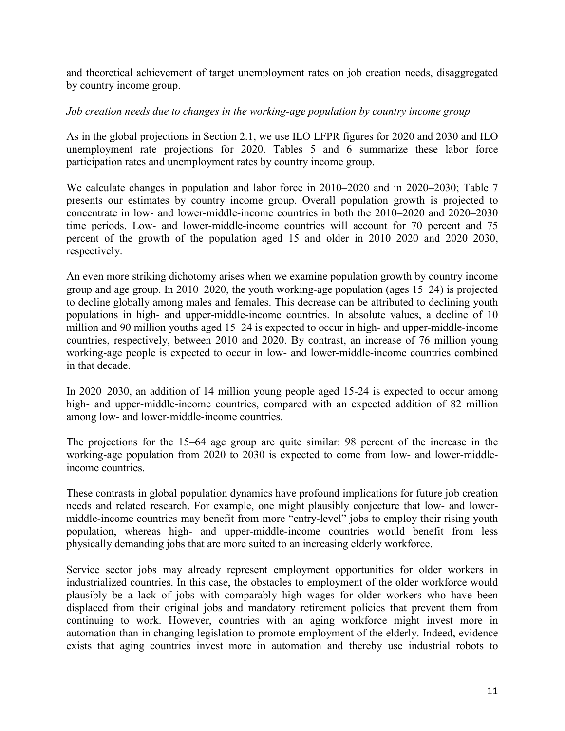and theoretical achievement of target unemployment rates on job creation needs, disaggregated by country income group.

## *Job creation needs due to changes in the working-age population by country income group*

As in the global projections in Section 2.1, we use ILO LFPR figures for 2020 and 2030 and ILO unemployment rate projections for 2020. Tables 5 and 6 summarize these labor force participation rates and unemployment rates by country income group.

We calculate changes in population and labor force in 2010–2020 and in 2020–2030; Table 7 presents our estimates by country income group. Overall population growth is projected to concentrate in low- and lower-middle-income countries in both the 2010–2020 and 2020–2030 time periods. Low- and lower-middle-income countries will account for 70 percent and 75 percent of the growth of the population aged 15 and older in 2010–2020 and 2020–2030, respectively.

An even more striking dichotomy arises when we examine population growth by country income group and age group. In 2010–2020, the youth working-age population (ages 15–24) is projected to decline globally among males and females. This decrease can be attributed to declining youth populations in high- and upper-middle-income countries. In absolute values, a decline of 10 million and 90 million youths aged 15–24 is expected to occur in high- and upper-middle-income countries, respectively, between 2010 and 2020. By contrast, an increase of 76 million young working-age people is expected to occur in low- and lower-middle-income countries combined in that decade.

In 2020–2030, an addition of 14 million young people aged 15-24 is expected to occur among high- and upper-middle-income countries, compared with an expected addition of 82 million among low- and lower-middle-income countries.

The projections for the 15–64 age group are quite similar: 98 percent of the increase in the working-age population from 2020 to 2030 is expected to come from low- and lower-middleincome countries.

These contrasts in global population dynamics have profound implications for future job creation needs and related research. For example, one might plausibly conjecture that low- and lowermiddle-income countries may benefit from more "entry-level" jobs to employ their rising youth population, whereas high- and upper-middle-income countries would benefit from less physically demanding jobs that are more suited to an increasing elderly workforce.

Service sector jobs may already represent employment opportunities for older workers in industrialized countries. In this case, the obstacles to employment of the older workforce would plausibly be a lack of jobs with comparably high wages for older workers who have been displaced from their original jobs and mandatory retirement policies that prevent them from continuing to work. However, countries with an aging workforce might invest more in automation than in changing legislation to promote employment of the elderly. Indeed, evidence exists that aging countries invest more in automation and thereby use industrial robots to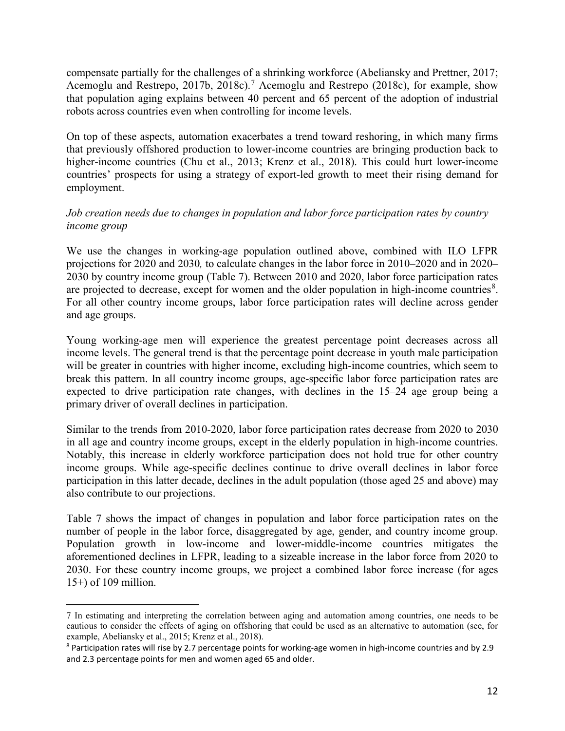compensate partially for the challenges of a shrinking workforce (Abeliansky and Prettner, 2017; Acemoglu and Restrepo, 201[7](#page-12-0)b, 2018c).<sup>7</sup> Acemoglu and Restrepo (2018c), for example, show that population aging explains between 40 percent and 65 percent of the adoption of industrial robots across countries even when controlling for income levels.

On top of these aspects, automation exacerbates a trend toward reshoring, in which many firms that previously offshored production to lower-income countries are bringing production back to higher-income countries (Chu et al., 2013; Krenz et al., 2018). This could hurt lower-income countries' prospects for using a strategy of export-led growth to meet their rising demand for employment.

# *Job creation needs due to changes in population and labor force participation rates by country income group*

We use the changes in working-age population outlined above, combined with ILO LFPR projections for 2020 and 2030*,* to calculate changes in the labor force in 2010–2020 and in 2020– 2030 by country income group (Table 7). Between 2010 and 2020, labor force participation rates are projected to decrease, except for women and the older population in high-income countries<sup>[8](#page-12-1)</sup>. For all other country income groups, labor force participation rates will decline across gender and age groups.

Young working-age men will experience the greatest percentage point decreases across all income levels. The general trend is that the percentage point decrease in youth male participation will be greater in countries with higher income, excluding high-income countries, which seem to break this pattern. In all country income groups, age-specific labor force participation rates are expected to drive participation rate changes, with declines in the 15–24 age group being a primary driver of overall declines in participation.

Similar to the trends from 2010-2020, labor force participation rates decrease from 2020 to 2030 in all age and country income groups, except in the elderly population in high-income countries. Notably, this increase in elderly workforce participation does not hold true for other country income groups. While age-specific declines continue to drive overall declines in labor force participation in this latter decade, declines in the adult population (those aged 25 and above) may also contribute to our projections.

Table 7 shows the impact of changes in population and labor force participation rates on the number of people in the labor force, disaggregated by age, gender, and country income group. Population growth in low-income and lower-middle-income countries mitigates the aforementioned declines in LFPR, leading to a sizeable increase in the labor force from 2020 to 2030. For these country income groups, we project a combined labor force increase (for ages 15+) of 109 million.

 $\overline{a}$ 

<span id="page-12-0"></span><sup>7</sup> In estimating and interpreting the correlation between aging and automation among countries, one needs to be cautious to consider the effects of aging on offshoring that could be used as an alternative to automation (see, for example, Abeliansky et al., 2015; Krenz et al., 2018).

<span id="page-12-1"></span><sup>8</sup> Participation rates will rise by 2.7 percentage points for working-age women in high-income countries and by 2.9 and 2.3 percentage points for men and women aged 65 and older.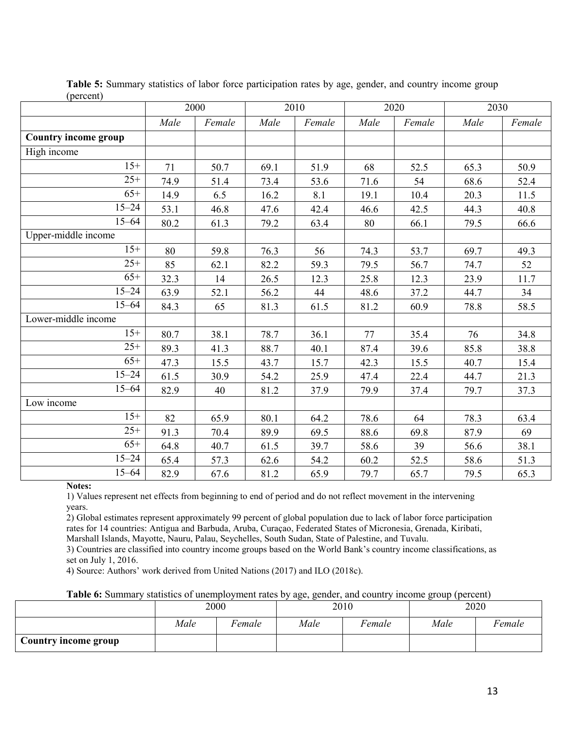|                             |      | 2000   |      | 2010   |      | 2020   |      | 2030   |
|-----------------------------|------|--------|------|--------|------|--------|------|--------|
|                             | Male | Female | Male | Female | Male | Female | Male | Female |
| <b>Country income group</b> |      |        |      |        |      |        |      |        |
| High income                 |      |        |      |        |      |        |      |        |
| $15+$                       | 71   | 50.7   | 69.1 | 51.9   | 68   | 52.5   | 65.3 | 50.9   |
| $25+$                       | 74.9 | 51.4   | 73.4 | 53.6   | 71.6 | 54     | 68.6 | 52.4   |
| $65+$                       | 14.9 | 6.5    | 16.2 | 8.1    | 19.1 | 10.4   | 20.3 | 11.5   |
| $15 - 24$                   | 53.1 | 46.8   | 47.6 | 42.4   | 46.6 | 42.5   | 44.3 | 40.8   |
| $15 - 64$                   | 80.2 | 61.3   | 79.2 | 63.4   | 80   | 66.1   | 79.5 | 66.6   |
| Upper-middle income         |      |        |      |        |      |        |      |        |
| $15+$                       | 80   | 59.8   | 76.3 | 56     | 74.3 | 53.7   | 69.7 | 49.3   |
| $25+$                       | 85   | 62.1   | 82.2 | 59.3   | 79.5 | 56.7   | 74.7 | 52     |
| $65+$                       | 32.3 | 14     | 26.5 | 12.3   | 25.8 | 12.3   | 23.9 | 11.7   |
| $15 - 24$                   | 63.9 | 52.1   | 56.2 | 44     | 48.6 | 37.2   | 44.7 | 34     |
| $15 - 64$                   | 84.3 | 65     | 81.3 | 61.5   | 81.2 | 60.9   | 78.8 | 58.5   |
| Lower-middle income         |      |        |      |        |      |        |      |        |
| $15+$                       | 80.7 | 38.1   | 78.7 | 36.1   | 77   | 35.4   | 76   | 34.8   |
| $25+$                       | 89.3 | 41.3   | 88.7 | 40.1   | 87.4 | 39.6   | 85.8 | 38.8   |
| $65+$                       | 47.3 | 15.5   | 43.7 | 15.7   | 42.3 | 15.5   | 40.7 | 15.4   |
| $15 - 24$                   | 61.5 | 30.9   | 54.2 | 25.9   | 47.4 | 22.4   | 44.7 | 21.3   |
| $15 - 64$                   | 82.9 | 40     | 81.2 | 37.9   | 79.9 | 37.4   | 79.7 | 37.3   |
| Low income                  |      |        |      |        |      |        |      |        |
| $15+$                       | 82   | 65.9   | 80.1 | 64.2   | 78.6 | 64     | 78.3 | 63.4   |
| $25+$                       | 91.3 | 70.4   | 89.9 | 69.5   | 88.6 | 69.8   | 87.9 | 69     |
| $65+$                       | 64.8 | 40.7   | 61.5 | 39.7   | 58.6 | 39     | 56.6 | 38.1   |
| $15 - 24$                   | 65.4 | 57.3   | 62.6 | 54.2   | 60.2 | 52.5   | 58.6 | 51.3   |
| $15 - 64$                   | 82.9 | 67.6   | 81.2 | 65.9   | 79.7 | 65.7   | 79.5 | 65.3   |

**Table 5:** Summary statistics of labor force participation rates by age, gender, and country income group (percent)

**Notes:**

1) Values represent net effects from beginning to end of period and do not reflect movement in the intervening years.

2) Global estimates represent approximately 99 percent of global population due to lack of labor force participation rates for 14 countries: Antigua and Barbuda, Aruba, Curaçao, Federated States of Micronesia, Grenada, Kiribati, Marshall Islands, Mayotte, Nauru, Palau, Seychelles, South Sudan, State of Palestine, and Tuvalu.

3) Countries are classified into country income groups based on the World Bank's country income classifications, as set on July 1, 2016.

4) Source: Authors' work derived from United Nations (2017) and ILO (2018c).

**Table 6:** Summary statistics of unemployment rates by age, gender, and country income group (percent)

|                      |                | 2000 |                | 2010 | 2020 |        |  |
|----------------------|----------------|------|----------------|------|------|--------|--|
|                      | Male<br>Female |      | Male<br>Female |      | Male | Female |  |
| Country income group |                |      |                |      |      |        |  |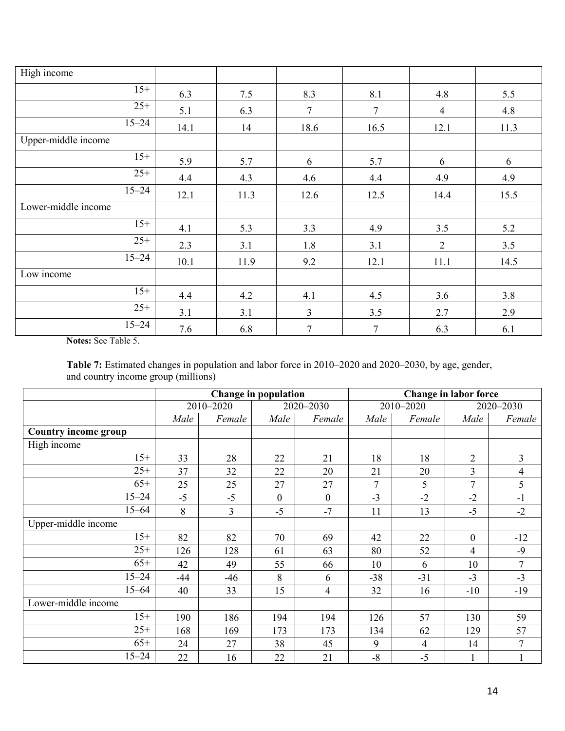| High income         |      |      |                |                |                |      |
|---------------------|------|------|----------------|----------------|----------------|------|
| $15+$               | 6.3  | 7.5  | 8.3            | 8.1            | 4.8            | 5.5  |
| $25+$               | 5.1  | 6.3  | 7              | $\tau$         | $\overline{4}$ | 4.8  |
| $15 - 24$           | 14.1 | 14   | 18.6           | 16.5           | 12.1           | 11.3 |
| Upper-middle income |      |      |                |                |                |      |
| $15+$               | 5.9  | 5.7  | 6              | 5.7            | 6              | 6    |
| $25+$               | 4.4  | 4.3  | 4.6            | 4.4            | 4.9            | 4.9  |
| $15 - 24$           | 12.1 | 11.3 | 12.6           | 12.5           | 14.4           | 15.5 |
| Lower-middle income |      |      |                |                |                |      |
| $15+$               | 4.1  | 5.3  | 3.3            | 4.9            | 3.5            | 5.2  |
| $25+$               | 2.3  | 3.1  | 1.8            | 3.1            | $\overline{2}$ | 3.5  |
| $15 - 24$           | 10.1 | 11.9 | 9.2            | 12.1           | 11.1           | 14.5 |
| Low income          |      |      |                |                |                |      |
| $15+$               | 4.4  | 4.2  | 4.1            | 4.5            | 3.6            | 3.8  |
| $25+$               | 3.1  | 3.1  | 3              | 3.5            | 2.7            | 2.9  |
| $15 - 24$           | 7.6  | 6.8  | $\overline{7}$ | $\overline{7}$ | 6.3            | 6.1  |

**Notes:** See Table 5.

**Table 7:** Estimated changes in population and labor force in 2010–2020 and 2020–2030, by age, gender, and country income group (millions)

|                      |       |           | <b>Change in population</b> |                  | <b>Change in labor force</b> |                |                |                |  |
|----------------------|-------|-----------|-----------------------------|------------------|------------------------------|----------------|----------------|----------------|--|
|                      |       | 2010-2020 |                             | 2020-2030        |                              | 2010-2020      |                | 2020-2030      |  |
|                      | Male  | Female    | Male                        | Female           | Male                         | Female         | Male           | Female         |  |
| Country income group |       |           |                             |                  |                              |                |                |                |  |
| High income          |       |           |                             |                  |                              |                |                |                |  |
| $15+$                | 33    | 28        | 22                          | 21               | 18                           | 18             | $\overline{2}$ | $\overline{3}$ |  |
| $25+$                | 37    | 32        | 22                          | 20               | 21                           | 20             | $\overline{3}$ | $\overline{4}$ |  |
| $65+$                | 25    | 25        | 27                          | 27               | 7                            | 5              | $\overline{7}$ | 5              |  |
| $15 - 24$            | $-5$  | $-5$      | $\mathbf{0}$                | $\boldsymbol{0}$ | $-3$                         | $-2$           | $-2$           | $-1$           |  |
| $15 - 64$            | 8     | 3         | $-5$                        | $-7$             | 11                           | 13             | $-5$           | $-2$           |  |
| Upper-middle income  |       |           |                             |                  |                              |                |                |                |  |
| $15+$                | 82    | 82        | 70                          | 69               | 42                           | 22             | $\mathbf{0}$   | $-12$          |  |
| $25+$                | 126   | 128       | 61                          | 63               | 80                           | 52             | 4              | $-9$           |  |
| $65+$                | 42    | 49        | 55                          | 66               | 10                           | 6              | 10             | $\tau$         |  |
| $15 - 24$            | $-44$ | $-46$     | 8                           | 6                | $-38$                        | $-31$          | $-3$           | $-3$           |  |
| $15 - 64$            | 40    | 33        | 15                          | 4                | 32                           | 16             | $-10$          | $-19$          |  |
| Lower-middle income  |       |           |                             |                  |                              |                |                |                |  |
| $15+$                | 190   | 186       | 194                         | 194              | 126                          | 57             | 130            | 59             |  |
| $25+$                | 168   | 169       | 173                         | 173              | 134                          | 62             | 129            | 57             |  |
| $65+$                | 24    | 27        | 38                          | 45               | 9                            | $\overline{4}$ | 14             | 7              |  |
| $15 - 24$            | 22    | 16        | 22                          | 21               | $-8$                         | $-5$           |                |                |  |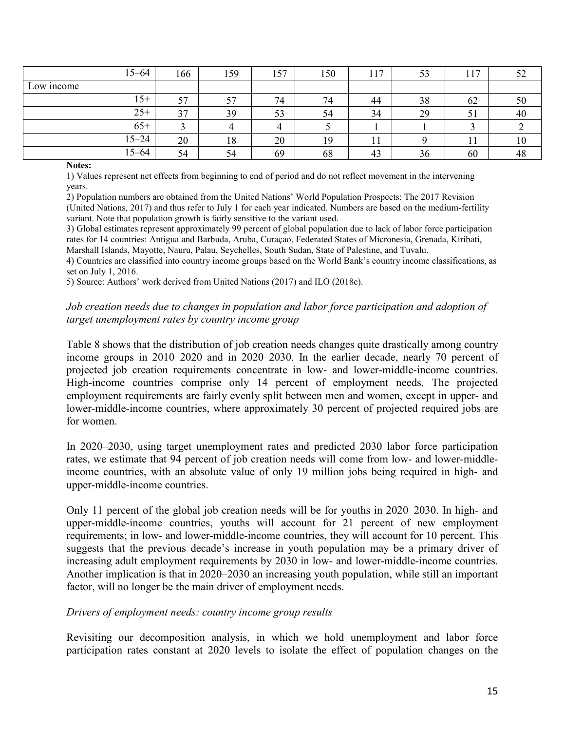|            | $15 - 64$ | 166 | 159 | 157 | 150 | 17 | 53 |    | 52 |
|------------|-----------|-----|-----|-----|-----|----|----|----|----|
| Low income |           |     |     |     |     |    |    |    |    |
|            | $15+$     | 57  | 57  | 74  | 74  | 44 | 38 | 62 | 50 |
|            | $25+$     | 37  | 39  | 53  | 54  | 34 | 29 | 51 | 40 |
|            | $65+$     |     |     | 4   |     |    |    |    |    |
|            | $15 - 24$ | 20  | 18  | 20  | 19  |    |    |    | 10 |
|            | 15–64     | 54  | 54  | 69  | 68  | 43 | 36 | 60 | 48 |

#### **Notes:**

1) Values represent net effects from beginning to end of period and do not reflect movement in the intervening years.

2) Population numbers are obtained from the United Nations' World Population Prospects: The 2017 Revision (United Nations, 2017) and thus refer to July 1 for each year indicated. Numbers are based on the medium-fertility variant. Note that population growth is fairly sensitive to the variant used.

3) Global estimates represent approximately 99 percent of global population due to lack of labor force participation rates for 14 countries: Antigua and Barbuda, Aruba, Curaçao, Federated States of Micronesia, Grenada, Kiribati, Marshall Islands, Mayotte, Nauru, Palau, Seychelles, South Sudan, State of Palestine, and Tuvalu.

4) Countries are classified into country income groups based on the World Bank's country income classifications, as set on July 1, 2016.

5) Source: Authors' work derived from United Nations (2017) and ILO (2018c).

#### *Job creation needs due to changes in population and labor force participation and adoption of target unemployment rates by country income group*

Table 8 shows that the distribution of job creation needs changes quite drastically among country income groups in 2010–2020 and in 2020–2030. In the earlier decade, nearly 70 percent of projected job creation requirements concentrate in low- and lower-middle-income countries. High-income countries comprise only 14 percent of employment needs. The projected employment requirements are fairly evenly split between men and women, except in upper- and lower-middle-income countries, where approximately 30 percent of projected required jobs are for women.

In 2020–2030, using target unemployment rates and predicted 2030 labor force participation rates, we estimate that 94 percent of job creation needs will come from low- and lower-middleincome countries, with an absolute value of only 19 million jobs being required in high- and upper-middle-income countries.

Only 11 percent of the global job creation needs will be for youths in 2020–2030. In high- and upper-middle-income countries, youths will account for 21 percent of new employment requirements; in low- and lower-middle-income countries, they will account for 10 percent. This suggests that the previous decade's increase in youth population may be a primary driver of increasing adult employment requirements by 2030 in low- and lower-middle-income countries. Another implication is that in 2020–2030 an increasing youth population, while still an important factor, will no longer be the main driver of employment needs.

#### *Drivers of employment needs: country income group results*

Revisiting our decomposition analysis, in which we hold unemployment and labor force participation rates constant at 2020 levels to isolate the effect of population changes on the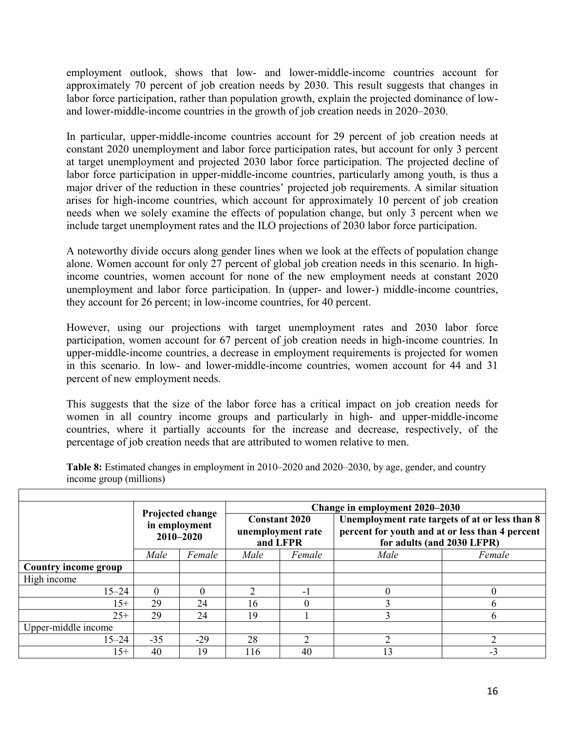employment outlook, shows that low- and lower-middle-income countries account for approximately 70 percent of job creation needs by 2030. This result suggests that changes in labor force participation, rather than population growth, explain the projected dominance of lowand lower-middle-income countries in the growth of job creation needs in 2020–2030.

In particular, upper-middle-income countries account for 29 percent of job creation needs at constant 2020 unemployment and labor force participation rates, but account for only 3 percent at target unemployment and projected 2030 labor force participation. The projected decline of labor force participation in upper-middle-income countries, particularly among youth, is thus a major driver of the reduction in these countries' projected job requirements. A similar situation arises for high-income countries, which account for approximately 10 percent of job creation needs when we solely examine the effects of population change, but only 3 percent when we include target unemployment rates and the ILO projections of 2030 labor force participation.

A noteworthy divide occurs along gender lines when we look at the effects of population change alone. Women account for only 27 percent of global job creation needs in this scenario. In highincome countries, women account for none of the new employment needs at constant 2020 unemployment and labor force participation. In (upper- and lower-) middle-income countries, they account for 26 percent; in low-income countries, for 40 percent.

However, using our projections with target unemployment rates and 2030 labor force participation, women account for 67 percent of job creation needs in high-income countries. In upper-middle-income countries, a decrease in employment requirements is projected for women in this scenario. In low- and lower-middle-income countries, women account for 44 and 31 percent of new employment needs.

This suggests that the size of the labor force has a critical impact on job creation needs for women in all country income groups and particularly in high- and upper-middle-income countries, where it partially accounts for the increase and decrease, respectively, of the percentage of job creation needs that are attributed to women relative to men.

|                             |                                                |          |                                                       | Change in employment 2020–2030 |                                                                                                                                 |              |  |  |  |  |
|-----------------------------|------------------------------------------------|----------|-------------------------------------------------------|--------------------------------|---------------------------------------------------------------------------------------------------------------------------------|--------------|--|--|--|--|
|                             | Projected change<br>in employment<br>2010-2020 |          | <b>Constant 2020</b><br>unemployment rate<br>and LFPR |                                | Unemployment rate targets of at or less than 8<br>percent for youth and at or less than 4 percent<br>for adults (and 2030 LFPR) |              |  |  |  |  |
|                             | Male                                           | Female   | Male                                                  | Female                         | Male                                                                                                                            | Female       |  |  |  |  |
| <b>Country income group</b> |                                                |          |                                                       |                                |                                                                                                                                 |              |  |  |  |  |
| High income                 |                                                |          |                                                       |                                |                                                                                                                                 |              |  |  |  |  |
| $15 - 24$                   |                                                | $\Omega$ |                                                       | -1                             | $\Omega$                                                                                                                        |              |  |  |  |  |
| $15+$                       | 29                                             | 24       | 16                                                    | $\Omega$                       |                                                                                                                                 | <sub>b</sub> |  |  |  |  |
| $25+$                       | 29                                             | 24       | 19                                                    |                                |                                                                                                                                 | 6            |  |  |  |  |
| Upper-middle income         |                                                |          |                                                       |                                |                                                                                                                                 |              |  |  |  |  |
| $15 - 24$                   | $-35$                                          | $-29$    | 28                                                    | ↑                              |                                                                                                                                 | ↑            |  |  |  |  |
| $15+$                       | 40                                             | 19       | 116                                                   | 40                             | 13                                                                                                                              | $-3$         |  |  |  |  |

**Table 8:** Estimated changes in employment in 2010–2020 and 2020–2030, by age, gender, and country income group (millions)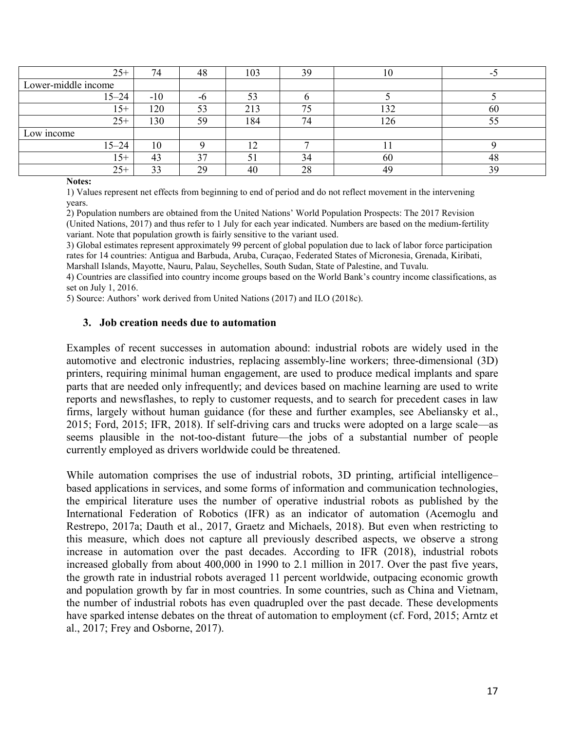| $25+$               | 74    | 48 | 103          | 39 | 10<br>1 U |    |
|---------------------|-------|----|--------------|----|-----------|----|
| Lower-middle income |       |    |              |    |           |    |
| $15 - 24$           | $-10$ | -6 | 53           |    |           |    |
| $15+$               | 120   | 53 | 213          | 75 | 132       | 60 |
| $25+$               | 130   | 59 | 184          | 74 | 126       | cς |
| Low income          |       |    |              |    |           |    |
| $15 - 24$           | 10    |    | $\sim$<br>⊥∠ |    | л.        |    |
| $15+$               | 43    | 37 |              | 34 | 60        | 48 |
| $25+$               | 33    | 29 | 40           | 28 | 49        | 39 |

#### **Notes:**

1) Values represent net effects from beginning to end of period and do not reflect movement in the intervening years.

2) Population numbers are obtained from the United Nations' World Population Prospects: The 2017 Revision (United Nations, 2017) and thus refer to 1 July for each year indicated. Numbers are based on the medium-fertility variant. Note that population growth is fairly sensitive to the variant used.

3) Global estimates represent approximately 99 percent of global population due to lack of labor force participation rates for 14 countries: Antigua and Barbuda, Aruba, Curaçao, Federated States of Micronesia, Grenada, Kiribati, Marshall Islands, Mayotte, Nauru, Palau, Seychelles, South Sudan, State of Palestine, and Tuvalu.

4) Countries are classified into country income groups based on the World Bank's country income classifications, as set on July 1, 2016.

5) Source: Authors' work derived from United Nations (2017) and ILO (2018c).

#### **3. Job creation needs due to automation**

Examples of recent successes in automation abound: industrial robots are widely used in the automotive and electronic industries, replacing assembly-line workers; three-dimensional (3D) printers, requiring minimal human engagement, are used to produce medical implants and spare parts that are needed only infrequently; and devices based on machine learning are used to write reports and newsflashes, to reply to customer requests, and to search for precedent cases in law firms, largely without human guidance (for these and further examples, see Abeliansky et al., 2015; Ford, 2015; IFR, 2018). If self-driving cars and trucks were adopted on a large scale—as seems plausible in the not-too-distant future—the jobs of a substantial number of people currently employed as drivers worldwide could be threatened.

While automation comprises the use of industrial robots, 3D printing, artificial intelligence– based applications in services, and some forms of information and communication technologies, the empirical literature uses the number of operative industrial robots as published by the International Federation of Robotics (IFR) as an indicator of automation (Acemoglu and Restrepo, 2017a; Dauth et al., 2017, Graetz and Michaels, 2018). But even when restricting to this measure, which does not capture all previously described aspects, we observe a strong increase in automation over the past decades. According to IFR (2018), industrial robots increased globally from about 400,000 in 1990 to 2.1 million in 2017. Over the past five years, the growth rate in industrial robots averaged 11 percent worldwide, outpacing economic growth and population growth by far in most countries. In some countries, such as China and Vietnam, the number of industrial robots has even quadrupled over the past decade. These developments have sparked intense debates on the threat of automation to employment (cf. Ford, 2015; Arntz et al., 2017; Frey and Osborne, 2017).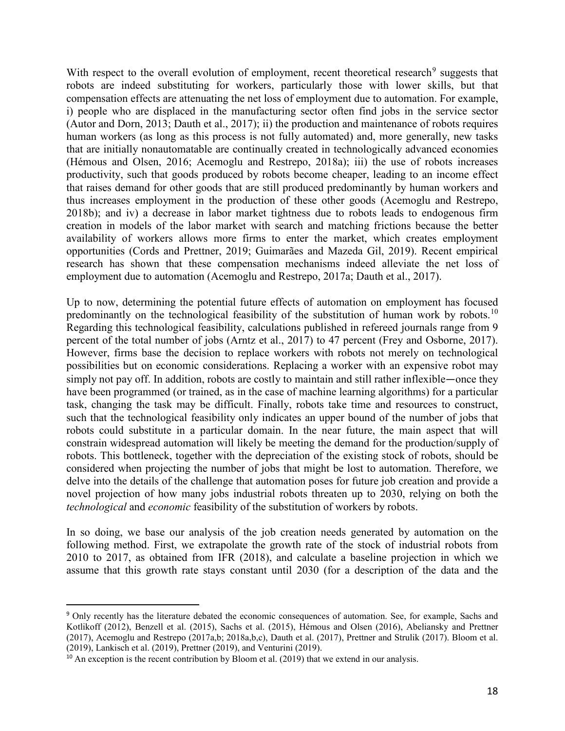With respect to the overall evolution of employment, recent theoretical research<sup>[9](#page-18-0)</sup> suggests that robots are indeed substituting for workers, particularly those with lower skills, but that compensation effects are attenuating the net loss of employment due to automation. For example, i) people who are displaced in the manufacturing sector often find jobs in the service sector (Autor and Dorn, 2013; Dauth et al., 2017); ii) the production and maintenance of robots requires human workers (as long as this process is not fully automated) and, more generally, new tasks that are initially nonautomatable are continually created in technologically advanced economies (Hémous and Olsen, 2016; Acemoglu and Restrepo, 2018a); iii) the use of robots increases productivity, such that goods produced by robots become cheaper, leading to an income effect that raises demand for other goods that are still produced predominantly by human workers and thus increases employment in the production of these other goods (Acemoglu and Restrepo, 2018b); and iv) a decrease in labor market tightness due to robots leads to endogenous firm creation in models of the labor market with search and matching frictions because the better availability of workers allows more firms to enter the market, which creates employment opportunities (Cords and Prettner, 2019; Guimarães and Mazeda Gil, 2019). Recent empirical research has shown that these compensation mechanisms indeed alleviate the net loss of employment due to automation (Acemoglu and Restrepo, 2017a; Dauth et al., 2017).

Up to now, determining the potential future effects of automation on employment has focused predominantly on the technological feasibility of the substitution of human work by robots.<sup>[10](#page-18-1)</sup> Regarding this technological feasibility, calculations published in refereed journals range from 9 percent of the total number of jobs (Arntz et al., 2017) to 47 percent (Frey and Osborne, 2017). However, firms base the decision to replace workers with robots not merely on technological possibilities but on economic considerations. Replacing a worker with an expensive robot may simply not pay off. In addition, robots are costly to maintain and still rather inflexible—once they have been programmed (or trained, as in the case of machine learning algorithms) for a particular task, changing the task may be difficult. Finally, robots take time and resources to construct, such that the technological feasibility only indicates an upper bound of the number of jobs that robots could substitute in a particular domain. In the near future, the main aspect that will constrain widespread automation will likely be meeting the demand for the production/supply of robots. This bottleneck, together with the depreciation of the existing stock of robots, should be considered when projecting the number of jobs that might be lost to automation. Therefore, we delve into the details of the challenge that automation poses for future job creation and provide a novel projection of how many jobs industrial robots threaten up to 2030, relying on both the *technological* and *economic* feasibility of the substitution of workers by robots.

In so doing, we base our analysis of the job creation needs generated by automation on the following method. First, we extrapolate the growth rate of the stock of industrial robots from 2010 to 2017, as obtained from IFR (2018), and calculate a baseline projection in which we assume that this growth rate stays constant until 2030 (for a description of the data and the

<span id="page-18-0"></span> <sup>9</sup> Only recently has the literature debated the economic consequences of automation. See, for example, Sachs and Kotlikoff (2012), Benzell et al. (2015), Sachs et al. (2015), Hémous and Olsen (2016), Abeliansky and Prettner (2017), Acemoglu and Restrepo (2017a,b; 2018a,b,c), Dauth et al. (2017), Prettner and Strulik (2017). Bloom et al. (2019), Lankisch et al. (2019), Prettner (2019), and Venturini (2019).

<span id="page-18-1"></span> $10$  An exception is the recent contribution by Bloom et al. (2019) that we extend in our analysis.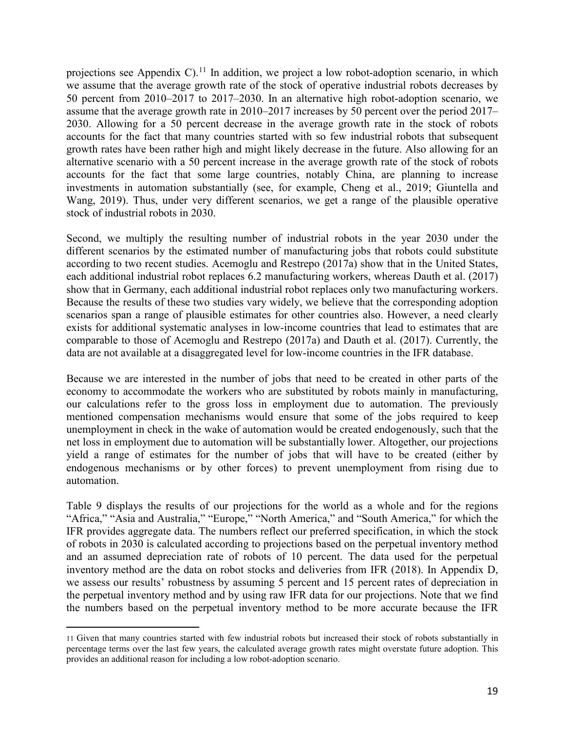projections see Appendix C).<sup>[11](#page-19-0)</sup> In addition, we project a low robot-adoption scenario, in which we assume that the average growth rate of the stock of operative industrial robots decreases by 50 percent from 2010–2017 to 2017–2030. In an alternative high robot-adoption scenario, we assume that the average growth rate in 2010–2017 increases by 50 percent over the period 2017– 2030. Allowing for a 50 percent decrease in the average growth rate in the stock of robots accounts for the fact that many countries started with so few industrial robots that subsequent growth rates have been rather high and might likely decrease in the future. Also allowing for an alternative scenario with a 50 percent increase in the average growth rate of the stock of robots accounts for the fact that some large countries, notably China, are planning to increase investments in automation substantially (see, for example, Cheng et al., 2019; Giuntella and Wang, 2019). Thus, under very different scenarios, we get a range of the plausible operative stock of industrial robots in 2030.

Second, we multiply the resulting number of industrial robots in the year 2030 under the different scenarios by the estimated number of manufacturing jobs that robots could substitute according to two recent studies. Acemoglu and Restrepo (2017a) show that in the United States, each additional industrial robot replaces 6.2 manufacturing workers, whereas Dauth et al. (2017) show that in Germany, each additional industrial robot replaces only two manufacturing workers. Because the results of these two studies vary widely, we believe that the corresponding adoption scenarios span a range of plausible estimates for other countries also. However, a need clearly exists for additional systematic analyses in low-income countries that lead to estimates that are comparable to those of Acemoglu and Restrepo (2017a) and Dauth et al. (2017). Currently, the data are not available at a disaggregated level for low-income countries in the IFR database.

Because we are interested in the number of jobs that need to be created in other parts of the economy to accommodate the workers who are substituted by robots mainly in manufacturing, our calculations refer to the gross loss in employment due to automation. The previously mentioned compensation mechanisms would ensure that some of the jobs required to keep unemployment in check in the wake of automation would be created endogenously, such that the net loss in employment due to automation will be substantially lower. Altogether, our projections yield a range of estimates for the number of jobs that will have to be created (either by endogenous mechanisms or by other forces) to prevent unemployment from rising due to automation.

Table 9 displays the results of our projections for the world as a whole and for the regions "Africa," "Asia and Australia," "Europe," "North America," and "South America," for which the IFR provides aggregate data. The numbers reflect our preferred specification, in which the stock of robots in 2030 is calculated according to projections based on the perpetual inventory method and an assumed depreciation rate of robots of 10 percent. The data used for the perpetual inventory method are the data on robot stocks and deliveries from IFR (2018). In Appendix D, we assess our results' robustness by assuming 5 percent and 15 percent rates of depreciation in the perpetual inventory method and by using raw IFR data for our projections. Note that we find the numbers based on the perpetual inventory method to be more accurate because the IFR

 $\overline{a}$ 

<span id="page-19-0"></span><sup>11</sup> Given that many countries started with few industrial robots but increased their stock of robots substantially in percentage terms over the last few years, the calculated average growth rates might overstate future adoption. This provides an additional reason for including a low robot-adoption scenario.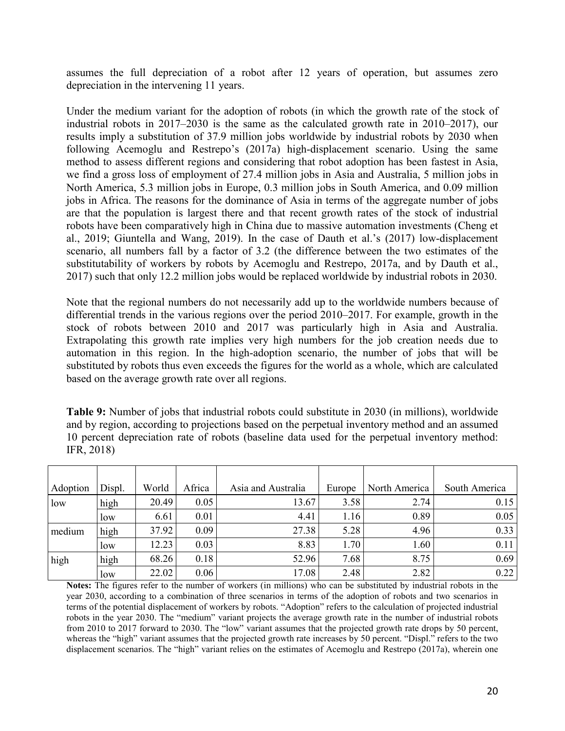assumes the full depreciation of a robot after 12 years of operation, but assumes zero depreciation in the intervening 11 years.

Under the medium variant for the adoption of robots (in which the growth rate of the stock of industrial robots in 2017–2030 is the same as the calculated growth rate in 2010–2017), our results imply a substitution of 37.9 million jobs worldwide by industrial robots by 2030 when following Acemoglu and Restrepo's (2017a) high-displacement scenario. Using the same method to assess different regions and considering that robot adoption has been fastest in Asia, we find a gross loss of employment of 27.4 million jobs in Asia and Australia, 5 million jobs in North America, 5.3 million jobs in Europe, 0.3 million jobs in South America, and 0.09 million jobs in Africa. The reasons for the dominance of Asia in terms of the aggregate number of jobs are that the population is largest there and that recent growth rates of the stock of industrial robots have been comparatively high in China due to massive automation investments (Cheng et al., 2019; Giuntella and Wang, 2019). In the case of Dauth et al.'s (2017) low-displacement scenario, all numbers fall by a factor of 3.2 (the difference between the two estimates of the substitutability of workers by robots by Acemoglu and Restrepo, 2017a, and by Dauth et al., 2017) such that only 12.2 million jobs would be replaced worldwide by industrial robots in 2030.

Note that the regional numbers do not necessarily add up to the worldwide numbers because of differential trends in the various regions over the period 2010–2017. For example, growth in the stock of robots between 2010 and 2017 was particularly high in Asia and Australia. Extrapolating this growth rate implies very high numbers for the job creation needs due to automation in this region. In the high-adoption scenario, the number of jobs that will be substituted by robots thus even exceeds the figures for the world as a whole, which are calculated based on the average growth rate over all regions.

**Table 9:** Number of jobs that industrial robots could substitute in 2030 (in millions), worldwide and by region, according to projections based on the perpetual inventory method and an assumed 10 percent depreciation rate of robots (baseline data used for the perpetual inventory method: IFR, 2018)

| Adoption | Displ. | World | Africa | Asia and Australia | Europe | North America | South America |
|----------|--------|-------|--------|--------------------|--------|---------------|---------------|
| low      | high   | 20.49 | 0.05   | 13.67              | 3.58   | 2.74          | 0.15          |
|          | low    | 6.61  | 0.01   | 4.41               | 1.16   | 0.89          | 0.05          |
| medium   | high   | 37.92 | 0.09   | 27.38              | 5.28   | 4.96          | 0.33          |
|          | low    | 12.23 | 0.03   | 8.83               | 1.70   | 1.60          | 0.11          |
| high     | high   | 68.26 | 0.18   | 52.96              | 7.68   | 8.75          | 0.69          |
|          | low    | 22.02 | 0.06   | 17.08              | 2.48   | 2.82          | 0.22          |

**Notes:** The figures refer to the number of workers (in millions) who can be substituted by industrial robots in the year 2030, according to a combination of three scenarios in terms of the adoption of robots and two scenarios in terms of the potential displacement of workers by robots. "Adoption" refers to the calculation of projected industrial robots in the year 2030. The "medium" variant projects the average growth rate in the number of industrial robots from 2010 to 2017 forward to 2030. The "low" variant assumes that the projected growth rate drops by 50 percent, whereas the "high" variant assumes that the projected growth rate increases by 50 percent. "Displ." refers to the two displacement scenarios. The "high" variant relies on the estimates of Acemoglu and Restrepo (2017a), wherein one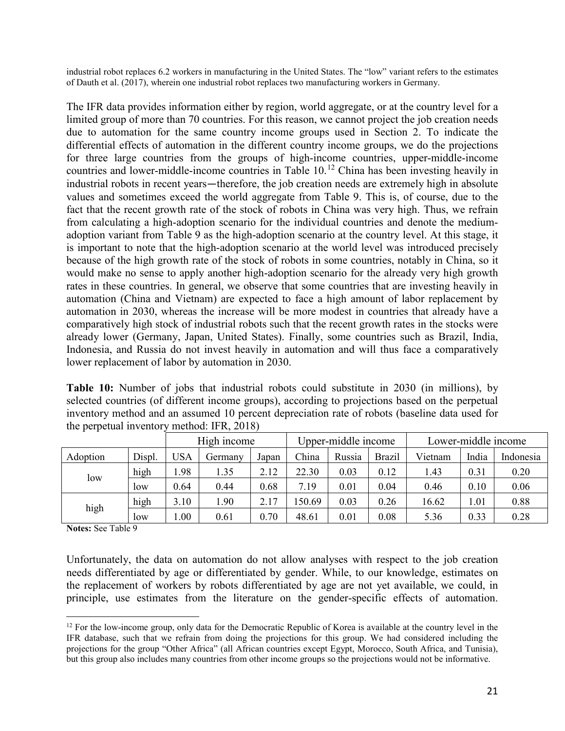industrial robot replaces 6.2 workers in manufacturing in the United States. The "low" variant refers to the estimates of Dauth et al. (2017), wherein one industrial robot replaces two manufacturing workers in Germany.

The IFR data provides information either by region, world aggregate, or at the country level for a limited group of more than 70 countries. For this reason, we cannot project the job creation needs due to automation for the same country income groups used in Section 2. To indicate the differential effects of automation in the different country income groups, we do the projections for three large countries from the groups of high-income countries, upper-middle-income countries and lower-middle-income countries in Table 10. [12](#page-21-0) China has been investing heavily in industrial robots in recent years—therefore, the job creation needs are extremely high in absolute values and sometimes exceed the world aggregate from Table 9. This is, of course, due to the fact that the recent growth rate of the stock of robots in China was very high. Thus, we refrain from calculating a high-adoption scenario for the individual countries and denote the mediumadoption variant from Table 9 as the high-adoption scenario at the country level. At this stage, it is important to note that the high-adoption scenario at the world level was introduced precisely because of the high growth rate of the stock of robots in some countries, notably in China, so it would make no sense to apply another high-adoption scenario for the already very high growth rates in these countries. In general, we observe that some countries that are investing heavily in automation (China and Vietnam) are expected to face a high amount of labor replacement by automation in 2030, whereas the increase will be more modest in countries that already have a comparatively high stock of industrial robots such that the recent growth rates in the stocks were already lower (Germany, Japan, United States). Finally, some countries such as Brazil, India, Indonesia, and Russia do not invest heavily in automation and will thus face a comparatively lower replacement of labor by automation in 2030.

**Table 10:** Number of jobs that industrial robots could substitute in 2030 (in millions), by selected countries (of different income groups), according to projections based on the perpetual inventory method and an assumed 10 percent depreciation rate of robots (baseline data used for the perpetual inventory method: IFR, 2018)

|          |        | High income |         |       | Upper-middle income |        |               | Lower-middle income |       |           |
|----------|--------|-------------|---------|-------|---------------------|--------|---------------|---------------------|-------|-----------|
| Adoption | Displ. | USA         | Germany | Japan | China               | Russia | <b>Brazil</b> | Vietnam             | India | Indonesia |
| low      | high   | 1.98        | 1.35    | 2.12  | 22.30               | 0.03   | 0.12          | 1.43                | 0.31  | 0.20      |
|          | low    | 0.64        | 0.44    | 0.68  | 7.19                | 0.01   | 0.04          | 0.46                | 0.10  | 0.06      |
| high     | high   | 3.10        | .90     | 2.17  | 150.69              | 0.03   | 0.26          | 16.62               | 1.01  | 0.88      |
|          | low    | 0.00        | 0.61    | 0.70  | 48.61               | 0.01   | 0.08          | 5.36                | 0.33  | 0.28      |

**Notes:** See Table 9

 $\overline{a}$ 

Unfortunately, the data on automation do not allow analyses with respect to the job creation needs differentiated by age or differentiated by gender. While, to our knowledge, estimates on the replacement of workers by robots differentiated by age are not yet available, we could, in principle, use estimates from the literature on the gender-specific effects of automation.

<span id="page-21-0"></span> $12$  For the low-income group, only data for the Democratic Republic of Korea is available at the country level in the IFR database, such that we refrain from doing the projections for this group. We had considered including the projections for the group "Other Africa" (all African countries except Egypt, Morocco, South Africa, and Tunisia), but this group also includes many countries from other income groups so the projections would not be informative.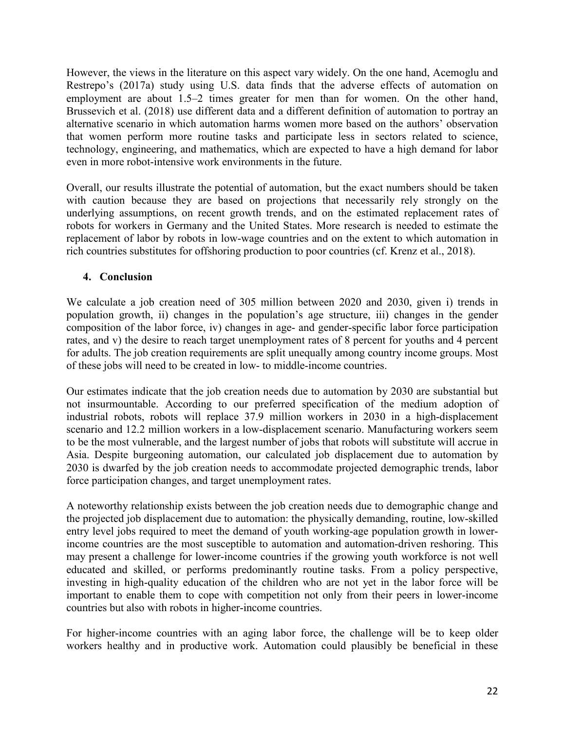However, the views in the literature on this aspect vary widely. On the one hand, Acemoglu and Restrepo's (2017a) study using U.S. data finds that the adverse effects of automation on employment are about 1.5–2 times greater for men than for women. On the other hand, Brussevich et al. (2018) use different data and a different definition of automation to portray an alternative scenario in which automation harms women more based on the authors' observation that women perform more routine tasks and participate less in sectors related to science, technology, engineering, and mathematics, which are expected to have a high demand for labor even in more robot-intensive work environments in the future.

Overall, our results illustrate the potential of automation, but the exact numbers should be taken with caution because they are based on projections that necessarily rely strongly on the underlying assumptions, on recent growth trends, and on the estimated replacement rates of robots for workers in Germany and the United States. More research is needed to estimate the replacement of labor by robots in low-wage countries and on the extent to which automation in rich countries substitutes for offshoring production to poor countries (cf. Krenz et al., 2018).

# **4. Conclusion**

We calculate a job creation need of 305 million between 2020 and 2030, given i) trends in population growth, ii) changes in the population's age structure, iii) changes in the gender composition of the labor force, iv) changes in age- and gender-specific labor force participation rates, and v) the desire to reach target unemployment rates of 8 percent for youths and 4 percent for adults. The job creation requirements are split unequally among country income groups. Most of these jobs will need to be created in low- to middle-income countries.

Our estimates indicate that the job creation needs due to automation by 2030 are substantial but not insurmountable. According to our preferred specification of the medium adoption of industrial robots, robots will replace 37.9 million workers in 2030 in a high-displacement scenario and 12.2 million workers in a low-displacement scenario. Manufacturing workers seem to be the most vulnerable, and the largest number of jobs that robots will substitute will accrue in Asia. Despite burgeoning automation, our calculated job displacement due to automation by 2030 is dwarfed by the job creation needs to accommodate projected demographic trends, labor force participation changes, and target unemployment rates.

A noteworthy relationship exists between the job creation needs due to demographic change and the projected job displacement due to automation: the physically demanding, routine, low-skilled entry level jobs required to meet the demand of youth working-age population growth in lowerincome countries are the most susceptible to automation and automation-driven reshoring. This may present a challenge for lower-income countries if the growing youth workforce is not well educated and skilled, or performs predominantly routine tasks. From a policy perspective, investing in high-quality education of the children who are not yet in the labor force will be important to enable them to cope with competition not only from their peers in lower-income countries but also with robots in higher-income countries.

For higher-income countries with an aging labor force, the challenge will be to keep older workers healthy and in productive work. Automation could plausibly be beneficial in these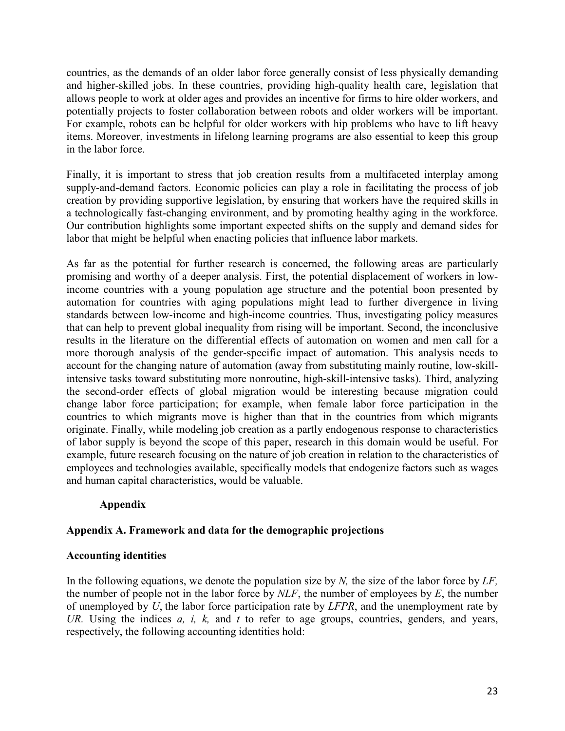countries, as the demands of an older labor force generally consist of less physically demanding and higher-skilled jobs. In these countries, providing high-quality health care, legislation that allows people to work at older ages and provides an incentive for firms to hire older workers, and potentially projects to foster collaboration between robots and older workers will be important. For example, robots can be helpful for older workers with hip problems who have to lift heavy items. Moreover, investments in lifelong learning programs are also essential to keep this group in the labor force.

Finally, it is important to stress that job creation results from a multifaceted interplay among supply-and-demand factors. Economic policies can play a role in facilitating the process of job creation by providing supportive legislation, by ensuring that workers have the required skills in a technologically fast-changing environment, and by promoting healthy aging in the workforce. Our contribution highlights some important expected shifts on the supply and demand sides for labor that might be helpful when enacting policies that influence labor markets.

As far as the potential for further research is concerned, the following areas are particularly promising and worthy of a deeper analysis. First, the potential displacement of workers in lowincome countries with a young population age structure and the potential boon presented by automation for countries with aging populations might lead to further divergence in living standards between low-income and high-income countries. Thus, investigating policy measures that can help to prevent global inequality from rising will be important. Second, the inconclusive results in the literature on the differential effects of automation on women and men call for a more thorough analysis of the gender-specific impact of automation. This analysis needs to account for the changing nature of automation (away from substituting mainly routine, low-skillintensive tasks toward substituting more nonroutine, high-skill-intensive tasks). Third, analyzing the second-order effects of global migration would be interesting because migration could change labor force participation; for example, when female labor force participation in the countries to which migrants move is higher than that in the countries from which migrants originate. Finally, while modeling job creation as a partly endogenous response to characteristics of labor supply is beyond the scope of this paper, research in this domain would be useful. For example, future research focusing on the nature of job creation in relation to the characteristics of employees and technologies available, specifically models that endogenize factors such as wages and human capital characteristics, would be valuable.

# **Appendix**

# **Appendix A. Framework and data for the demographic projections**

# **Accounting identities**

In the following equations, we denote the population size by *N,* the size of the labor force by *LF,*  the number of people not in the labor force by *NLF*, the number of employees by *E*, the number of unemployed by *U*, the labor force participation rate by *LFPR*, and the unemployment rate by *UR.* Using the indices *a, i, k,* and *t* to refer to age groups, countries, genders, and years, respectively, the following accounting identities hold: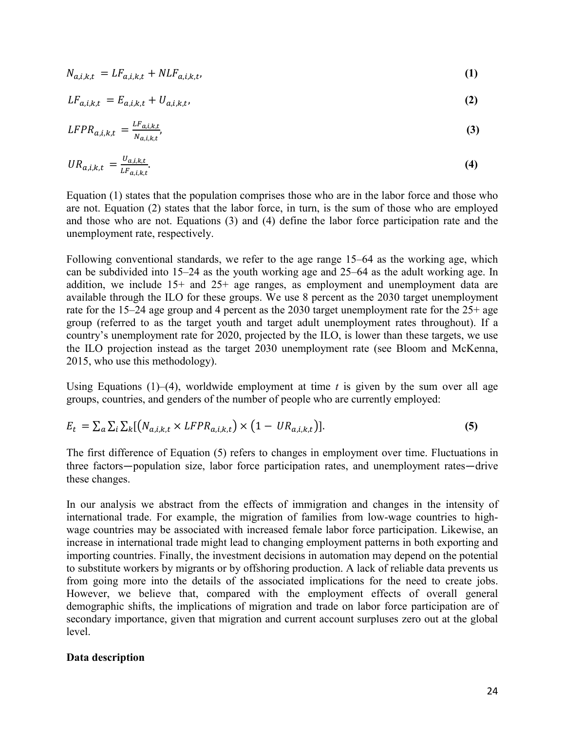$$
N_{a,i,k,t} = LF_{a,i,k,t} + NLF_{a,i,k,t},
$$
\n<sup>(1)</sup>

$$
LF_{a,i,k,t} = E_{a,i,k,t} + U_{a,i,k,t},
$$
\n(2)

$$
LFPR_{a,i,k,t} = \frac{LF_{a,i,k,t}}{N_{a,i,k,t}},
$$
\n(3)

$$
UR_{a,i,k,t} = \frac{U_{a,i,k,t}}{LF_{a,i,k,t}}.\tag{4}
$$

Equation (1) states that the population comprises those who are in the labor force and those who are not. Equation (2) states that the labor force, in turn, is the sum of those who are employed and those who are not. Equations (3) and (4) define the labor force participation rate and the unemployment rate, respectively.

Following conventional standards, we refer to the age range 15–64 as the working age, which can be subdivided into 15–24 as the youth working age and 25–64 as the adult working age. In addition, we include 15+ and 25+ age ranges, as employment and unemployment data are available through the ILO for these groups. We use 8 percent as the 2030 target unemployment rate for the 15–24 age group and 4 percent as the 2030 target unemployment rate for the 25+ age group (referred to as the target youth and target adult unemployment rates throughout). If a country's unemployment rate for 2020, projected by the ILO, is lower than these targets, we use the ILO projection instead as the target 2030 unemployment rate (see Bloom and McKenna, 2015, who use this methodology).

Using Equations  $(1)$ – $(4)$ , worldwide employment at time *t* is given by the sum over all age groups, countries, and genders of the number of people who are currently employed:

$$
E_t = \sum_a \sum_i \sum_k [(N_{a,i,k,t} \times LFPR_{a,i,k,t}) \times (1 - UR_{a,i,k,t})]. \tag{5}
$$

The first difference of Equation (5) refers to changes in employment over time. Fluctuations in three factors—population size, labor force participation rates, and unemployment rates—drive these changes.

In our analysis we abstract from the effects of immigration and changes in the intensity of international trade. For example, the migration of families from low-wage countries to highwage countries may be associated with increased female labor force participation. Likewise, an increase in international trade might lead to changing employment patterns in both exporting and importing countries. Finally, the investment decisions in automation may depend on the potential to substitute workers by migrants or by offshoring production. A lack of reliable data prevents us from going more into the details of the associated implications for the need to create jobs. However, we believe that, compared with the employment effects of overall general demographic shifts, the implications of migration and trade on labor force participation are of secondary importance, given that migration and current account surpluses zero out at the global level.

#### **Data description**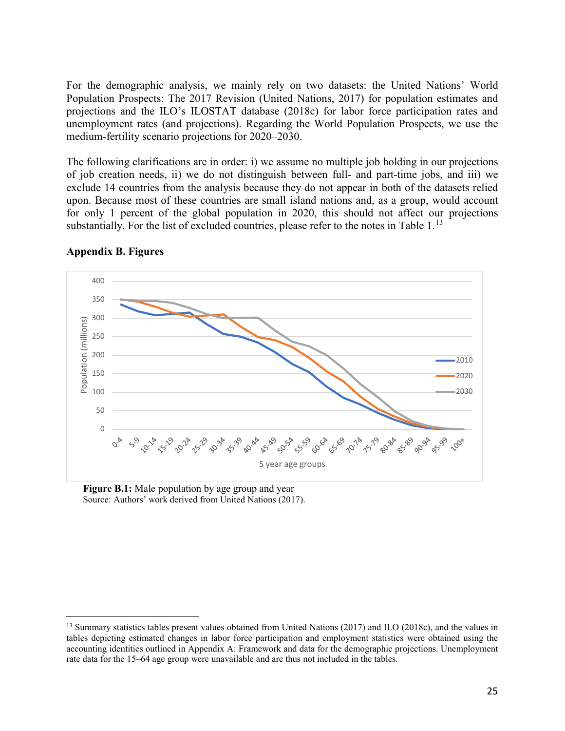For the demographic analysis, we mainly rely on two datasets: the United Nations' World Population Prospects: The 2017 Revision (United Nations, 2017) for population estimates and projections and the ILO's ILOSTAT database (2018c) for labor force participation rates and unemployment rates (and projections). Regarding the World Population Prospects, we use the medium-fertility scenario projections for 2020–2030.

The following clarifications are in order: i) we assume no multiple job holding in our projections of job creation needs, ii) we do not distinguish between full- and part-time jobs, and iii) we exclude 14 countries from the analysis because they do not appear in both of the datasets relied upon. Because most of these countries are small island nations and, as a group, would account for only 1 percent of the global population in 2020, this should not affect our projections substantially. For the list of excluded countries, please refer to the notes in Table  $1<sup>13</sup>$  $1<sup>13</sup>$  $1<sup>13</sup>$ 



#### **Appendix B. Figures**

 $\overline{a}$ 

**Figure B.1:** Male population by age group and year Source: Authors' work derived from United Nations (2017).

<span id="page-25-0"></span><sup>&</sup>lt;sup>13</sup> Summary statistics tables present values obtained from United Nations (2017) and ILO (2018c), and the values in tables depicting estimated changes in labor force participation and employment statistics were obtained using the accounting identities outlined in Appendix A: Framework and data for the demographic projections. Unemployment rate data for the 15–64 age group were unavailable and are thus not included in the tables.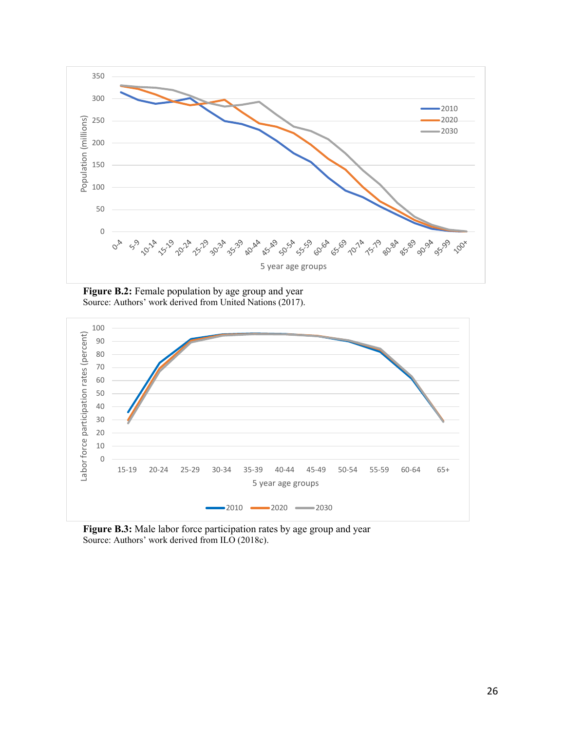

**Figure B.2:** Female population by age group and year Source: Authors' work derived from United Nations (2017).



**Figure B.3:** Male labor force participation rates by age group and year Source: Authors' work derived from ILO (2018c).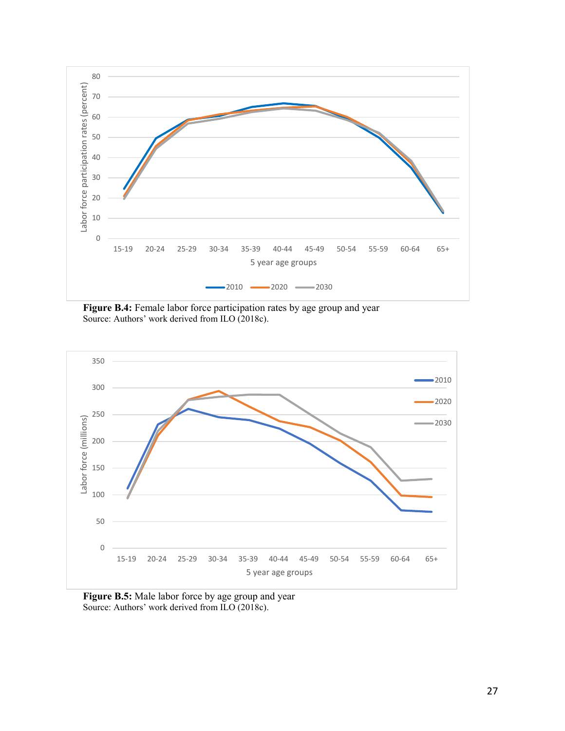

Figure B.4: Female labor force participation rates by age group and year Source: Authors' work derived from ILO (2018c).



**Figure B.5:** Male labor force by age group and year Source: Authors' work derived from ILO (2018c).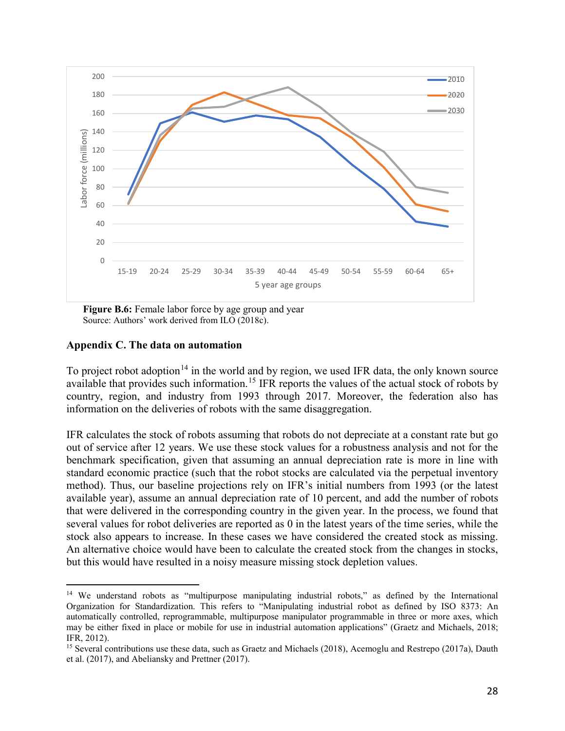

**Figure B.6:** Female labor force by age group and year Source: Authors' work derived from ILO (2018c).

# **Appendix C. The data on automation**

 $\overline{a}$ 

To project robot adoption<sup>[14](#page-28-0)</sup> in the world and by region, we used IFR data, the only known source available that provides such information.<sup>[15](#page-28-1)</sup> IFR reports the values of the actual stock of robots by country, region, and industry from 1993 through 2017. Moreover, the federation also has information on the deliveries of robots with the same disaggregation.

IFR calculates the stock of robots assuming that robots do not depreciate at a constant rate but go out of service after 12 years. We use these stock values for a robustness analysis and not for the benchmark specification, given that assuming an annual depreciation rate is more in line with standard economic practice (such that the robot stocks are calculated via the perpetual inventory method). Thus, our baseline projections rely on IFR's initial numbers from 1993 (or the latest available year), assume an annual depreciation rate of 10 percent, and add the number of robots that were delivered in the corresponding country in the given year. In the process, we found that several values for robot deliveries are reported as 0 in the latest years of the time series, while the stock also appears to increase. In these cases we have considered the created stock as missing. An alternative choice would have been to calculate the created stock from the changes in stocks, but this would have resulted in a noisy measure missing stock depletion values.

<span id="page-28-0"></span><sup>&</sup>lt;sup>14</sup> We understand robots as "multipurpose manipulating industrial robots," as defined by the International Organization for Standardization. This refers to "Manipulating industrial robot as defined by ISO 8373: An automatically controlled, reprogrammable, multipurpose manipulator programmable in three or more axes, which may be either fixed in place or mobile for use in industrial automation applications" (Graetz and Michaels, 2018; IFR, 2012).

<span id="page-28-1"></span><sup>&</sup>lt;sup>15</sup> Several contributions use these data, such as Graetz and Michaels (2018), Acemoglu and Restrepo (2017a), Dauth et al. (2017), and Abeliansky and Prettner (2017).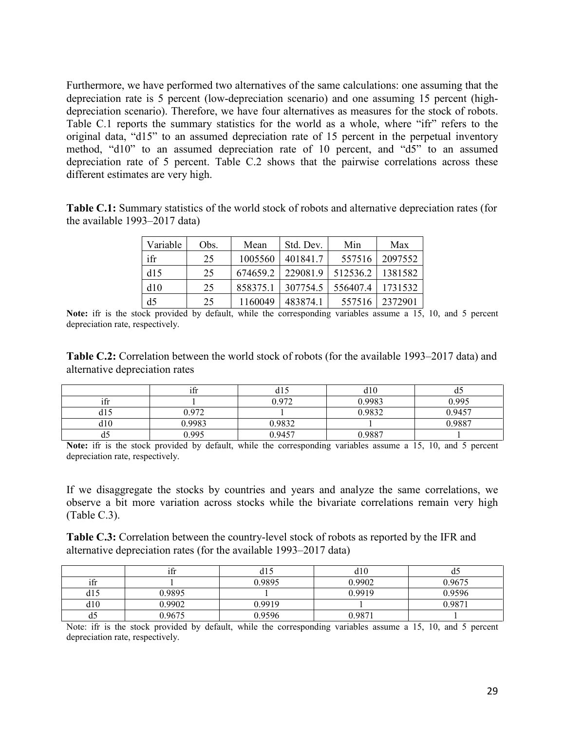Furthermore, we have performed two alternatives of the same calculations: one assuming that the depreciation rate is 5 percent (low-depreciation scenario) and one assuming 15 percent (highdepreciation scenario). Therefore, we have four alternatives as measures for the stock of robots. Table C.1 reports the summary statistics for the world as a whole, where "ifr" refers to the original data, "d15" to an assumed depreciation rate of 15 percent in the perpetual inventory method, "d10" to an assumed depreciation rate of 10 percent, and "d5" to an assumed depreciation rate of 5 percent. Table C.2 shows that the pairwise correlations across these different estimates are very high.

**Table C.1:** Summary statistics of the world stock of robots and alternative depreciation rates (for the available 1993–2017 data)

| Variable       | Obs. | Mean     | Std. Dev. | Min      | Max     |
|----------------|------|----------|-----------|----------|---------|
| ifr            | 25   | 1005560  | 401841.7  | 557516   | 2097552 |
| d15            | 25   | 674659.2 | 229081.9  | 512536.2 | 1381582 |
| d10            | 25   | 858375.1 | 307754.5  | 556407.4 | 1731532 |
| d <sub>5</sub> | 25   | 1160049  | 483874.1  | 557516   | 2372901 |

**Note:** ifr is the stock provided by default, while the corresponding variables assume a 15, 10, and 5 percent depreciation rate, respectively.

**Table C.2:** Correlation between the world stock of robots (for the available 1993–2017 data) and alternative depreciation rates

|                      | $\cdot$ $\sim$<br>ıtr | uı     | d10    | uJ     |
|----------------------|-----------------------|--------|--------|--------|
| $\cdot$ $\sim$<br>1Ħ |                       | 0.972  | 0.9983 | 0.995  |
| $q_{1}$              | 0.972                 |        | 0.9832 | 0.9457 |
| d10                  | 0.9983                | 0.9832 |        | 0.9887 |
| ω                    | 0.995                 | 0.9457 | 0.9887 |        |

**Note:** ifr is the stock provided by default, while the corresponding variables assume a 15, 10, and 5 percent depreciation rate, respectively.

If we disaggregate the stocks by countries and years and analyze the same correlations, we observe a bit more variation across stocks while the bivariate correlations remain very high (Table C.3).

**Table C.3:** Correlation between the country-level stock of robots as reported by the IFR and alternative depreciation rates (for the available 1993–2017 data)

|       | $\cdot$ $\sim$<br>1Ħ | (LD    | d10    | u      |
|-------|----------------------|--------|--------|--------|
| 1II   |                      | 0.9895 | 0.9902 | 0.9675 |
| u i J | 0.9895               |        | 0.9919 | 0.9596 |
| d10   | 0.9902               | 0.9919 |        | 0.9871 |
| u.    | 0.9675               | 0.9596 | 0.9871 |        |

Note: ifr is the stock provided by default, while the corresponding variables assume a 15, 10, and 5 percent depreciation rate, respectively.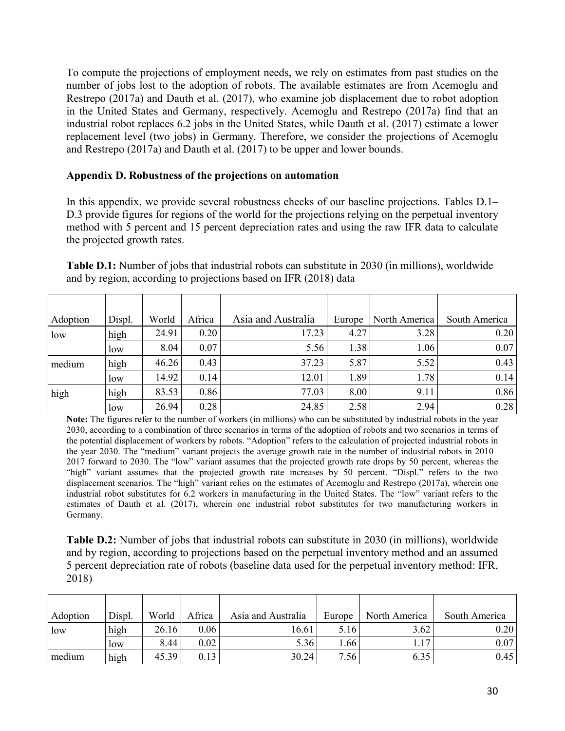To compute the projections of employment needs, we rely on estimates from past studies on the number of jobs lost to the adoption of robots. The available estimates are from Acemoglu and Restrepo (2017a) and Dauth et al. (2017), who examine job displacement due to robot adoption in the United States and Germany, respectively. Acemoglu and Restrepo (2017a) find that an industrial robot replaces 6.2 jobs in the United States, while Dauth et al. (2017) estimate a lower replacement level (two jobs) in Germany. Therefore, we consider the projections of Acemoglu and Restrepo (2017a) and Dauth et al. (2017) to be upper and lower bounds.

## **Appendix D. Robustness of the projections on automation**

In this appendix, we provide several robustness checks of our baseline projections. Tables D.1– D.3 provide figures for regions of the world for the projections relying on the perpetual inventory method with 5 percent and 15 percent depreciation rates and using the raw IFR data to calculate the projected growth rates.

| Adoption | Displ. | World | Africa | Asia and Australia | Europe | North America | South America |
|----------|--------|-------|--------|--------------------|--------|---------------|---------------|
| low      | high   | 24.91 | 0.20   | 17.23              | 4.27   | 3.28          | 0.20          |
|          | low    | 8.04  | 0.07   | 5.56               | 1.38   | 1.06          | 0.07          |
| medium   | high   | 46.26 | 0.43   | 37.23              | 5.87   | 5.52          | 0.43          |
|          | low    | 14.92 | 0.14   | 12.01              | 1.89   | 1.78          | 0.14          |
| high     | high   | 83.53 | 0.86   | 77.03              | 8.00   | 9.11          | 0.86          |
|          | low    | 26.94 | 0.28   | 24.85              | 2.58   | 2.94          | 0.28          |

**Table D.1:** Number of jobs that industrial robots can substitute in 2030 (in millions), worldwide and by region, according to projections based on IFR (2018) data

**Note:** The figures refer to the number of workers (in millions) who can be substituted by industrial robots in the year 2030, according to a combination of three scenarios in terms of the adoption of robots and two scenarios in terms of the potential displacement of workers by robots. "Adoption" refers to the calculation of projected industrial robots in the year 2030. The "medium" variant projects the average growth rate in the number of industrial robots in 2010– 2017 forward to 2030. The "low" variant assumes that the projected growth rate drops by 50 percent, whereas the "high" variant assumes that the projected growth rate increases by 50 percent. "Displ." refers to the two displacement scenarios. The "high" variant relies on the estimates of Acemoglu and Restrepo (2017a), wherein one industrial robot substitutes for 6.2 workers in manufacturing in the United States. The "low" variant refers to the estimates of Dauth et al. (2017), wherein one industrial robot substitutes for two manufacturing workers in Germany.

**Table D.2:** Number of jobs that industrial robots can substitute in 2030 (in millions), worldwide and by region, according to projections based on the perpetual inventory method and an assumed 5 percent depreciation rate of robots (baseline data used for the perpetual inventory method: IFR, 2018)

| Adoption | Displ. | World | Africa | Asia and Australia | Europe | North America | South America |
|----------|--------|-------|--------|--------------------|--------|---------------|---------------|
| low      | high   | 26.16 | 0.06   | 16.61              | 5.16   | 3.62          | 0.20          |
|          | low    | 8.44  | 0.02   | 5.36               | .66    | 1.17          | 0.07          |
| medium   | high   | 45.39 | 0.13   | 30.24              | 7.56   | 6.35          | 0.45          |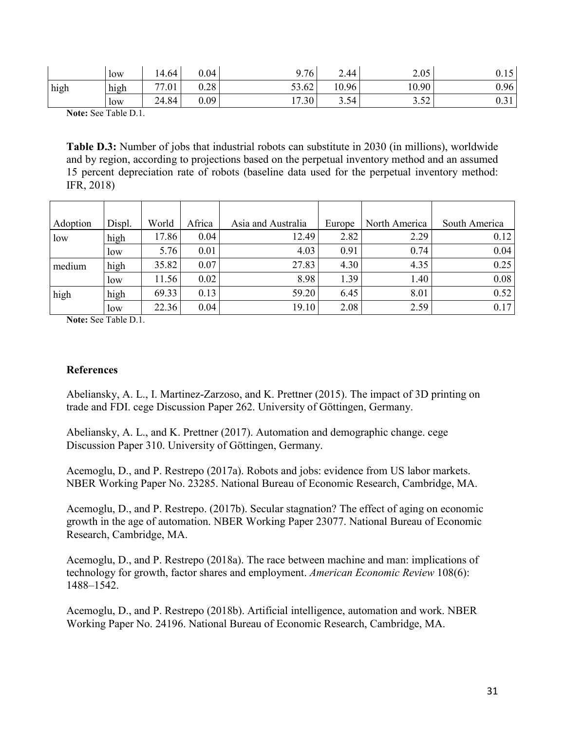|      | low  | 14.64 | 0.04 | 9.76  | 2.44  | 2.05       | 0.15 |
|------|------|-------|------|-------|-------|------------|------|
| high | high | 77.01 | 0.28 | 53.62 | 10.96 | 10.90      | 0.96 |
|      | low  | 24.84 | 0.09 | 17.30 | 3.54  | 252<br>ے ت | U.JI |

**Note:** See Table D.1.

**Table D.3:** Number of jobs that industrial robots can substitute in 2030 (in millions), worldwide and by region, according to projections based on the perpetual inventory method and an assumed 15 percent depreciation rate of robots (baseline data used for the perpetual inventory method: IFR, 2018)

| Adoption | Displ. | World | Africa | Asia and Australia | Europe | North America | South America |
|----------|--------|-------|--------|--------------------|--------|---------------|---------------|
| low      | high   | 17.86 | 0.04   | 12.49              | 2.82   | 2.29          | 0.12          |
|          | low    | 5.76  | 0.01   | 4.03               | 0.91   | 0.74          | 0.04          |
| medium   | high   | 35.82 | 0.07   | 27.83              | 4.30   | 4.35          | 0.25          |
|          | low    | 11.56 | 0.02   | 8.98               | 1.39   | 1.40          | 0.08          |
| high     | high   | 69.33 | 0.13   | 59.20              | 6.45   | 8.01          | 0.52          |
|          | low    | 22.36 | 0.04   | 19.10              | 2.08   | 2.59          | 0.17          |

**Note:** See Table D.1.

## **References**

Abeliansky, A. L., I. Martinez-Zarzoso, and K. Prettner (2015). The impact of 3D printing on trade and FDI. cege Discussion Paper 262. University of Göttingen, Germany.

Abeliansky, A. L., and K. Prettner (2017). Automation and demographic change. cege Discussion Paper 310. University of Göttingen, Germany.

Acemoglu, D., and P. Restrepo (2017a). Robots and jobs: evidence from US labor markets. NBER Working Paper No. 23285. National Bureau of Economic Research, Cambridge, MA.

Acemoglu, D., and P. Restrepo. (2017b). Secular stagnation? The effect of aging on economic growth in the age of automation. NBER Working Paper 23077. National Bureau of Economic Research, Cambridge, MA.

Acemoglu, D., and P. Restrepo (2018a). The race between machine and man: implications of technology for growth, factor shares and employment. *American Economic Review* 108(6): 1488–1542.

Acemoglu, D., and P. Restrepo (2018b). Artificial intelligence, automation and work. NBER Working Paper No. 24196. National Bureau of Economic Research, Cambridge, MA.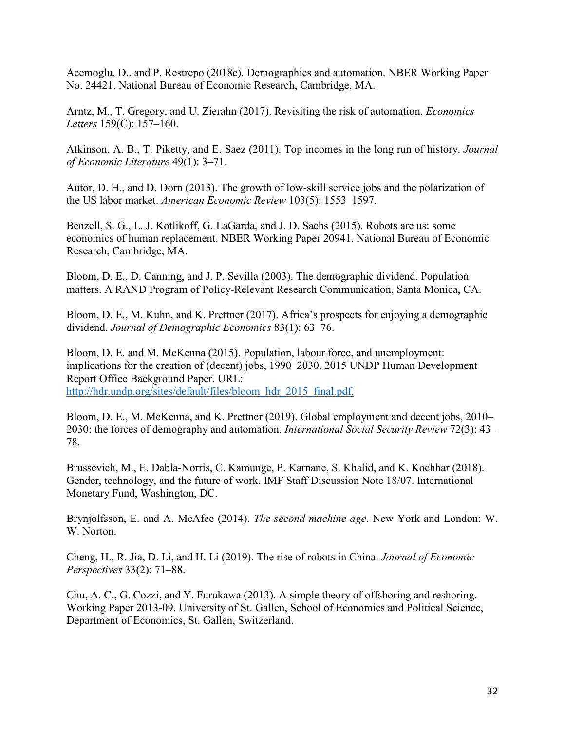Acemoglu, D., and P. Restrepo (2018c). Demographics and automation. NBER Working Paper No. 24421. National Bureau of Economic Research, Cambridge, MA.

Arntz, M., T. Gregory, and U. Zierahn (2017). Revisiting the risk of automation. *Economics Letters* 159(C): 157–160.

Atkinson, A. B., T. Piketty, and E. Saez (2011). Top incomes in the long run of history. *Journal of Economic Literature* 49(1): 3–71.

Autor, D. H., and D. Dorn (2013). The growth of low-skill service jobs and the polarization of the US labor market. *American Economic Review* 103(5): 1553–1597.

Benzell, S. G., L. J. Kotlikoff, G. LaGarda, and J. D. Sachs (2015). Robots are us: some economics of human replacement. NBER Working Paper 20941. National Bureau of Economic Research, Cambridge, MA.

Bloom, D. E., D. Canning, and J. P. Sevilla (2003). The demographic dividend. Population matters. A RAND Program of Policy-Relevant Research Communication, Santa Monica, CA.

Bloom, D. E., M. Kuhn, and K. Prettner (2017). Africa's prospects for enjoying a demographic dividend. *Journal of Demographic Economics* 83(1): 63–76.

Bloom, D. E. and M. McKenna (2015). Population, labour force, and unemployment: implications for the creation of (decent) jobs, 1990–2030. 2015 UNDP Human Development Report Office Background Paper. URL: [http://hdr.undp.org/sites/default/files/bloom\\_hdr\\_2015\\_final.pdf.](http://hdr.undp.org/sites/default/files/bloom_hdr_2015_final.pdf)

Bloom, D. E., M. McKenna, and K. Prettner (2019). Global employment and decent jobs, 2010– 2030: the forces of demography and automation. *International Social Security Review* 72(3): 43– 78.

Brussevich, M., E. Dabla-Norris, C. Kamunge, P. Karnane, S. Khalid, and K. Kochhar (2018). Gender, technology, and the future of work. IMF Staff Discussion Note 18/07. International Monetary Fund, Washington, DC.

Brynjolfsson, E. and A. McAfee (2014). *The second machine age*. New York and London: W. W. Norton.

Cheng, H., R. Jia, D. Li, and H. Li (2019). The rise of robots in China. *Journal of Economic Perspectives* 33(2): 71–88.

Chu, A. C., G. Cozzi, and Y. Furukawa (2013). A simple theory of offshoring and reshoring. Working Paper 2013-09. University of St. Gallen, School of Economics and Political Science, Department of Economics, St. Gallen, Switzerland.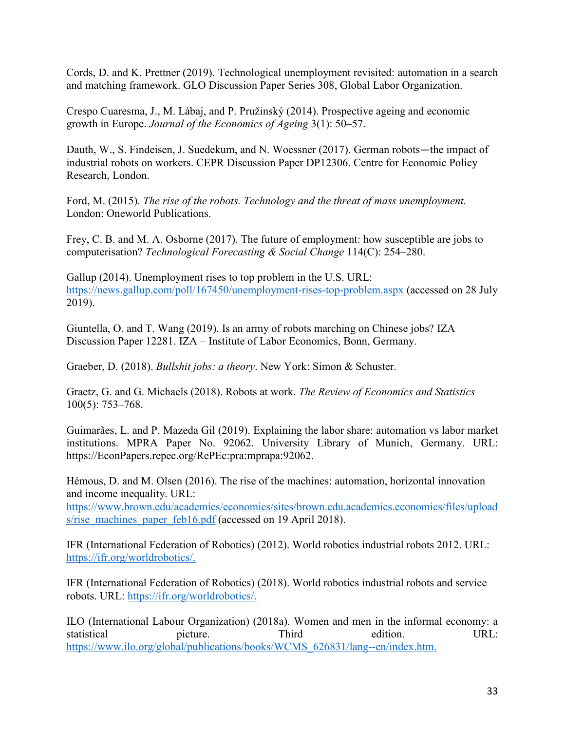Cords, D. and K. Prettner (2019). Technological unemployment revisited: automation in a search and matching framework. GLO Discussion Paper Series 308, Global Labor Organization.

Crespo Cuaresma, J., M. Lábaj, and P. Pružinský (2014). Prospective ageing and economic growth in Europe. *Journal of the Economics of Ageing* 3(1): 50–57.

Dauth, W., S. Findeisen, J. Suedekum, and N. Woessner (2017). German robots—the impact of industrial robots on workers. CEPR Discussion Paper DP12306. Centre for Economic Policy Research, London.

Ford, M. (2015). *The rise of the robots. Technology and the threat of mass unemployment.*  London: Oneworld Publications.

Frey, C. B. and M. A. Osborne (2017). The future of employment: how susceptible are jobs to computerisation? *Technological Forecasting & Social Change* 114(C): 254–280.

Gallup (2014). Unemployment rises to top problem in the U.S. URL: <https://news.gallup.com/poll/167450/unemployment-rises-top-problem.aspx> (accessed on 28 July 2019).

Giuntella, O. and T. Wang (2019). Is an army of robots marching on Chinese jobs? IZA Discussion Paper 12281. IZA – Institute of Labor Economics, Bonn, Germany.

Graeber, D. (2018). *Bullshit jobs: a theory*. New York: Simon & Schuster.

Graetz, G. and G. Michaels (2018). Robots at work. *The Review of Economics and Statistics* 100(5): 753–768.

Guimarães, L. and P. Mazeda Gil (2019). Explaining the labor share: automation vs labor market institutions. MPRA Paper No. 92062. University Library of Munich, Germany. URL: https://EconPapers.repec.org/RePEc:pra:mprapa:92062.

Hémous, D. and M. Olsen (2016). The rise of the machines: automation, horizontal innovation and income inequality. URL:

[https://www.brown.edu/academics/economics/sites/brown.edu.academics.economics/files/upload](https://www.brown.edu/academics/economics/sites/brown.edu.academics.economics/files/uploads/rise_machines_paper_feb16.pdf) [s/rise\\_machines\\_paper\\_feb16.pdf](https://www.brown.edu/academics/economics/sites/brown.edu.academics.economics/files/uploads/rise_machines_paper_feb16.pdf) (accessed on 19 April 2018).

IFR (International Federation of Robotics) (2012). World robotics industrial robots 2012. URL: [https://ifr.org/worldrobotics/.](https://ifr.org/worldrobotics/)

IFR (International Federation of Robotics) (2018). World robotics industrial robots and service robots. URL: [https://ifr.org/worldrobotics/.](https://ifr.org/worldrobotics/)

ILO (International Labour Organization) (2018a). Women and men in the informal economy: a statistical picture. Third edition. URL: [https://www.ilo.org/global/publications/books/WCMS\\_626831/lang--en/index.htm.](https://www.ilo.org/global/publications/books/WCMS_626831/lang--en/index.htm)